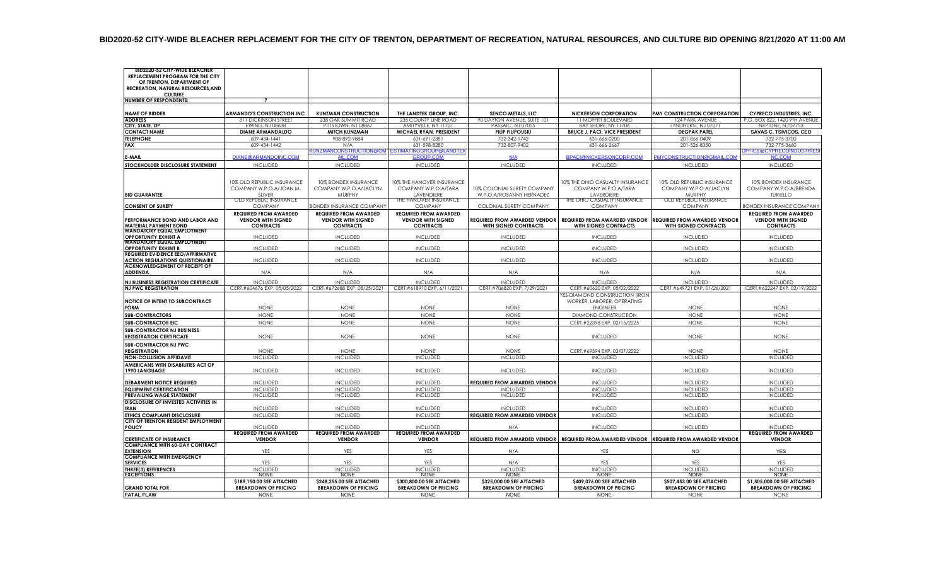| OF TRENTON, DEPARTMENT OF<br>RECREATION, NATURAL RESOURCES, AND<br><b>CULTURE</b><br><b>NUMBER OF RESPONDENTS:</b><br>$\overline{7}$<br><b>ARMANDO'S CONSTRUCTION INC.</b><br><b>KUNZMAN CONSTRUCTION</b><br><b>SENCO METALS, LLC</b><br><b>NICKERSON CORPORATION</b><br><b>PMY CONSTRUCTION CORPORATION</b><br><b>NAME OF BIDDER</b><br>THE LANDTEK GROUP. INC.<br><b>CYPRECO INDUSTRIES, INC.</b><br>311 DICKINSON STREET<br>238 OAK SUMMIT ROAD<br>235 COUNTY LINE ROAD<br>90 DAYTON AVENUE, SUITE 101<br>11 MOFFITT BOULEVARD<br>124 PARK AVENUE<br>P.O. BOX 822, 1420 9TH AVENUE<br><b>ADDRESS</b><br>PITTSTOWN, NJ 08867<br>AMITYVILLE, NY 11701<br>PASSAIC, NJ 07055<br>BAY SHORE, NY 11706<br>LYNDHURST, NJ 07071<br>NEPTUNE, NJ 07753<br>CITY, STATE, ZIF<br>EWING, NJ 08638<br><b>FILIP FILIPOUSKI</b><br><b>BRUCE J. PACI, VICE PRESIDENT</b><br><b>SAVAS C. TSIVICOS, CEO</b><br><b>CONTACT NAME</b><br><b>DIANE ARMANDALDO</b><br><b>MITCH KUNZMAN</b><br>MICHAEL RYAN, PRESIDENT<br><b>DEGPAK PATEL</b><br><b>TELEPHONE</b><br>609-434-1441<br>908-892-9884<br>631-691-2381<br>732-342-1742<br>201-866-0409<br>732-775-3700<br>631-666-0200<br>732-807-9402<br>FAX<br>609-434-1442<br>631-598-8280<br>631-666-2667<br>201-526-8350<br>732-775-3660<br>N/A<br>KUNZMANCONSTRUCTION@GM<br>ESTIMATINGGROUP@LANDTEK<br>OFFICE@CYPRECOINDUSTRIES<br>DIANE@ARMANDOINC.COM<br>BPACI@NICKERSONCORP.COM<br>PMYCONSTRUCTION@GMAIL.COM<br>E-MAIL<br>AIL.COM<br><b>GROUP.COM</b><br>NC.COM<br>N/A<br><b>INCLUDED</b><br><b>INCLUDED</b><br>STOCKHOLDER DISCLOSURE STATEMENT<br><b>INCLUDED</b><br><b>INCLUDED</b><br><b>INCLUDED</b><br><b>INCLUDED</b><br><b>INCLUDED</b><br>10% OLD REPUBLIC INSURANCE<br>10% BONDEX INSURANCE<br>10% THE HANOVER INSURANCE<br>10% THE OHIO CASUALTY INSURANCE<br>10% OLD REPUBLIC INSURANCE<br>10% BONDEX INSURANCE<br>COMPANY W.P.O.A/JOAN M.<br>COMPANY W.P.O.A/JACLYN<br>COMPANY W.P.O.A/TARA<br>10% COLONIAL SURETY COMPANY<br>COMPANY W.P.O.A/TARA<br>COMPANY W.P.O.A/JACLYN<br>COMPANY W.P.O.A/BRENDA<br><b>SLIVER</b><br>MURPHY<br>LAVENDIERE<br>W.P.O.A/ROSANNY HERNADEZ<br>LAVERDIERE<br>MURPHY<br>TURIELLO<br><b>BID GUARANTEE</b><br>OLD REPUBLIC INSURANCE<br>THE HANOVER INSURANCE<br>THE OHIO CASUALTY INSURANCE<br>OLD REPUBLIC INSURANCE<br><b>CONSENT OF SURETY</b><br><b>COMPANY</b><br><b>BONDEX INSURANCE COMPANY</b><br><b>COMPANY</b><br>COLONIAL SURETY COMPANY<br><b>COMPANY</b><br><b>COMPANY</b><br><b>BONDEX INSURANCE COMPANY</b><br><b>REQUIRED FROM AWARDED</b><br><b>REQUIRED FROM AWARDED</b><br><b>REQUIRED FROM AWARDED</b><br><b>REQUIRED FROM AWARDED</b><br><b>VENDOR WITH SIGNED</b><br><b>VENDOR WITH SIGNED</b><br><b>REQUIRED FROM AWARDED VENDOR   REQUIRED FROM AWARDED VENDOR</b><br>PERFORMANCE BOND AND LABOR AND<br><b>VENDOR WITH SIGNED</b><br>REQUIRED FROM AWARDED VENDOR<br><b>VENDOR WITH SIGNED</b><br><b>MATERIAL PAYMENT BOND</b><br><b>CONTRACTS</b><br><b>CONTRACTS</b><br><b>CONTRACTS</b><br><b>WITH SIGNED CONTRACTS</b><br><b>WITH SIGNED CONTRACTS</b><br><b>WITH SIGNED CONTRACTS</b><br><b>CONTRACTS</b><br><b>MANDATORY EQUAL EMPLOYMENT</b><br><b>OPPORTUNITY EXHIBIT A</b><br><b>INCLUDED</b><br><b>INCLUDED</b><br><b>INCLUDED</b><br><b>INCLUDED</b><br><b>INCLUDED</b><br><b>INCLUDED</b><br><b>INCLUDED</b><br><b>MANDATORY EQUAL EMPLOYMENT</b><br><b>INCLUDED</b><br><b>INCLUDED</b><br><b>INCLUDED</b><br><b>INCLUDED</b><br><b>INCLUDED</b><br><b>INCLUDED</b><br><b>INCLUDED</b><br><b>OPPORTUNITY EXHIBIT B</b><br><b>REQUIRED EVIDENCE EEO/AFFIRMATIVE</b><br><b>ACTION REGULATIONS QUESTIONAIRE</b><br><b>INCLUDED</b><br><b>INCLUDED</b><br><b>INCLUDED</b><br><b>INCLUDED</b><br><b>INCLUDED</b><br><b>INCLUDED</b><br><b>INCLUDED</b><br>ACKNOWLEDGEMENT OF RECEIPT OF<br><b>ADDENDA</b><br>N/A<br>N/A<br>N/A<br>N/A<br>N/A<br>N/A<br>N/A<br><b>NJ BUSINESS REGISTRATION CERTIFICATE</b><br><b>INCLUDED</b><br><b>INCLUDED</b><br><b>INCLUDED</b><br><b>INCLUDED</b><br><b>INCLUDED</b><br><b>INCLUDED</b><br><b>INCLUDED</b><br>CERT.#604676 EXP. 05/05/2022<br>CERT.#672688 EXP. 08/25/2021<br>CERT.#618910 EXP. 6/11/2021<br>CERT.#706820 EXP. 7/29/2021<br>CERT.#649721 EXP. 01/26/2021<br>CERT.#622247 EXP. 02/19/2022<br><b>NJ PWC REGISTRATION</b><br>CERT.#60620 EXP. 05/02/2022<br>YES-DIAMOND CONSTRUCTION (IRON<br>NOTICE OF INTENT TO SUBCONTRACT<br>WORKER, LABORER, OPERATING<br><b>FORM</b><br><b>NONE</b><br><b>NONE</b><br><b>NONE</b><br><b>NONE</b><br><b>ENGINEER</b><br><b>NONE</b><br><b>NONE</b><br><b>NONE</b><br><b>NONE</b><br><b>NONE</b><br><b>DIAMOND CONSTRUCTION</b><br><b>NONE</b><br><b>SUB-CONTRACTORS</b><br><b>NONE</b><br><b>NONE</b><br><b>SUB-CONTRACTOR EIC</b><br><b>NONE</b><br><b>NONE</b><br><b>NONE</b><br><b>NONE</b><br>CERT.#22398 EXP. 02/15/2025<br><b>NONE</b><br><b>NONE</b><br><b>SUB-CONTRACTOR NJ BUSINESS</b><br><b>REGISTRATION CERTIFICATE</b><br><b>NONE</b><br><b>NONE</b><br><b>NONE</b><br><b>NONE</b><br><b>INCLUDED</b><br><b>NONE</b><br><b>NONE</b><br><b>SUB-CONTRACTOR NJ PWC</b><br><b>REGISTRATION</b><br><b>NONE</b><br><b>NONE</b><br>CERT.#69394 EXP. 03/07/2022<br><b>NONE</b><br><b>NONE</b><br><b>NONE</b><br><b>NONE</b><br><b>INCLUDED</b><br><b>INCLUDED</b><br><b>INCLUDED</b><br><b>INCLUDED</b><br><b>INCLUDED</b><br><b>INCLUDED</b><br><b>INCLUDED</b><br><b>NON-COLLUSION AFFIDAVIT</b><br>AMERICANS WITH DISABILITIES ACT OF<br>1990 LANGUAGE<br><b>INCLUDED</b><br><b>INCLUDED</b><br><b>INCLUDED</b><br><b>INCLUDED</b><br><b>INCLUDED</b><br><b>INCLUDED</b><br><b>INCLUDED</b><br><b>REQUIRED FROM AWARDED VENDOR</b><br><b>DEBARMENT NOTICE REQUIRED</b><br><b>INCLUDED</b><br><b>INCLUDED</b><br><b>INCLUDED</b><br><b>INCLUDED</b><br><b>INCLUDED</b><br><b>INCLUDED</b><br><b>EQUIPMENT CERTIFICATION</b><br><b>INCLUDED</b><br><b>INCLUDED</b><br><b>INCLUDED</b><br><b>INCLUDED</b><br><b>INCLUDED</b><br><b>INCLUDED</b><br><b>INCLUDED</b><br>PREVAILING WAGE STATEMENT<br><b>INCLUDED</b><br><b>INCLUDED</b><br><b>INCLUDED</b><br><b>INCLUDED</b><br><b>INCLUDED</b><br><b>INCLUDED</b><br><b>INCLUDED</b><br>DISCLOSURE OF INVESTED ACTIVITIES IN<br><b>IRAN</b><br><b>INCLUDED</b><br><b>INCLUDED</b><br><b>INCLUDED</b><br><b>INCLUDED</b><br><b>INCLUDED</b><br><b>INCLUDED</b><br><b>INCLUDED</b><br><b>INCLUDED</b><br><b>INCLUDED</b><br><b>REQUIRED FROM AWARDED VENDOR</b><br><b>INCLUDED</b><br><b>INCLUDED</b><br><b>INCLUDED</b><br>ETHICS COMPLAINT DISCLOSURE<br><b>INCLUDED</b><br>CITY OF TRENTON RESIDENT EMPLOYMENT<br><b>POLICY</b><br><b>INCLUDED</b><br><b>INCLUDED</b><br><b>INCLUDED</b><br><b>INCLUDED</b><br><b>INCLUDED</b><br><b>INCLUDED</b><br>N/A<br><b>REQUIRED FROM AWARDED</b><br><b>REQUIRED FROM AWARDED</b><br><b>REQUIRED FROM AWARDED</b><br><b>REQUIRED FROM AWARDED</b><br>REQUIRED FROM AWARDED VENDOR REQUIRED FROM AWARDED VENDOR REQUIRED FROM AWARDED VENDOR<br><b>CERTIFICATE OF INSURANCE</b><br><b>VENDOR</b><br><b>VENDOR</b><br><b>VENDOR</b><br><b>VENDOR</b><br><b>COMPLIANCE WITH 60-DAY CONTRACT</b><br><b>EXTENSION</b><br>YES<br>YES<br>YES<br>NO<br><b>YES</b><br>N/A<br>YES<br><b>COMPLIANCE WITH EMERGENCY</b><br><b>SERVICES</b><br>YES<br>YES<br>YES<br>N/A<br>YES<br>YES<br>YES<br>THREE(3) REFERENCES<br><b>INCLUDED</b><br><b>INCLUDED</b><br><b>INCLUDED</b><br><b>INCLUDED</b><br><b>INCLUDED</b><br><b>INCLUDED</b><br><b>INCLUDED</b><br><b>EXCEPTIONS</b><br><b>NONE</b><br><b>NONE</b><br><b>NONE</b><br><b>NONE</b><br><b>NONE</b><br><b>NONE</b><br><b>NONE</b><br>\$189,150.00 SEE ATTACHED<br>\$248,255.00 SEE ATTACHED<br>\$300,800.00 SEE ATTACHED<br>\$325,000.00 SEE ATTACHED<br>\$409,076.00 SEE ATTACHED<br>\$507,453.00 SEE ATTACHED<br>\$1,505,000.00 SEE ATTACHED<br><b>GRAND TOTAL FOR</b><br><b>BREAKDOWN OF PRICING</b><br><b>BREAKDOWN OF PRICING</b><br><b>BREAKDOWN OF PRICING</b><br><b>BREAKDOWN OF PRICING</b><br><b>BREAKDOWN OF PRICING</b><br><b>BREAKDOWN OF PRICING</b><br><b>BREAKDOWN OF PRICING</b><br><b>FATAL FLAW</b><br><b>NONE</b><br><b>NONE</b><br><b>NONE</b><br><b>NONE</b><br><b>NONE</b><br><b>NONE</b><br><b>NONE</b> | <b>BID2020-52 CITY-WIDE BLEACHER</b> |  |  |  |  |
|------------------------------------------------------------------------------------------------------------------------------------------------------------------------------------------------------------------------------------------------------------------------------------------------------------------------------------------------------------------------------------------------------------------------------------------------------------------------------------------------------------------------------------------------------------------------------------------------------------------------------------------------------------------------------------------------------------------------------------------------------------------------------------------------------------------------------------------------------------------------------------------------------------------------------------------------------------------------------------------------------------------------------------------------------------------------------------------------------------------------------------------------------------------------------------------------------------------------------------------------------------------------------------------------------------------------------------------------------------------------------------------------------------------------------------------------------------------------------------------------------------------------------------------------------------------------------------------------------------------------------------------------------------------------------------------------------------------------------------------------------------------------------------------------------------------------------------------------------------------------------------------------------------------------------------------------------------------------------------------------------------------------------------------------------------------------------------------------------------------------------------------------------------------------------------------------------------------------------------------------------------------------------------------------------------------------------------------------------------------------------------------------------------------------------------------------------------------------------------------------------------------------------------------------------------------------------------------------------------------------------------------------------------------------------------------------------------------------------------------------------------------------------------------------------------------------------------------------------------------------------------------------------------------------------------------------------------------------------------------------------------------------------------------------------------------------------------------------------------------------------------------------------------------------------------------------------------------------------------------------------------------------------------------------------------------------------------------------------------------------------------------------------------------------------------------------------------------------------------------------------------------------------------------------------------------------------------------------------------------------------------------------------------------------------------------------------------------------------------------------------------------------------------------------------------------------------------------------------------------------------------------------------------------------------------------------------------------------------------------------------------------------------------------------------------------------------------------------------------------------------------------------------------------------------------------------------------------------------------------------------------------------------------------------------------------------------------------------------------------------------------------------------------------------------------------------------------------------------------------------------------------------------------------------------------------------------------------------------------------------------------------------------------------------------------------------------------------------------------------------------------------------------------------------------------------------------------------------------------------------------------------------------------------------------------------------------------------------------------------------------------------------------------------------------------------------------------------------------------------------------------------------------------------------------------------------------------------------------------------------------------------------------------------------------------------------------------------------------------------------------------------------------------------------------------------------------------------------------------------------------------------------------------------------------------------------------------------------------------------------------------------------------------------------------------------------------------------------------------------------------------------------------------------------------------------------------------------------------------------------------------------------------------------------------------------------------------------------------------------------------------------------------------------------------------------------------------------------------------------------------------------------------------------------------------------------------------------------------------------------------------------------------------------------------------------------------------------------------------------------------------------------------------------------------------------------------------------------------------------------------------------------------------------------------------------------------------------------------------------------------------------------------------------------------------------------------------------------------------------------------------------------------------------------------------------------------------------------------------------------------------------------------------------------------------------------------------------------------------------------------------------------------------------------------------------------------------------------------------------------------------------------------------------------------------------------------------------------------------------------------------------------------------------------------------------------------------------------------------------------------------------------------------------------------------------------------------------------------------------------------------------------------------------------------------------------------------------------------------------------------------------------------------------------------------------------------------------------------------------------------------------------------------------------------------------------------------------------------------------------------------------------------------------------------------------------------------------------------------------------------------------------------------------------------------------------------------------------------------------------------------------------------------------|--------------------------------------|--|--|--|--|
|                                                                                                                                                                                                                                                                                                                                                                                                                                                                                                                                                                                                                                                                                                                                                                                                                                                                                                                                                                                                                                                                                                                                                                                                                                                                                                                                                                                                                                                                                                                                                                                                                                                                                                                                                                                                                                                                                                                                                                                                                                                                                                                                                                                                                                                                                                                                                                                                                                                                                                                                                                                                                                                                                                                                                                                                                                                                                                                                                                                                                                                                                                                                                                                                                                                                                                                                                                                                                                                                                                                                                                                                                                                                                                                                                                                                                                                                                                                                                                                                                                                                                                                                                                                                                                                                                                                                                                                                                                                                                                                                                                                                                                                                                                                                                                                                                                                                                                                                                                                                                                                                                                                                                                                                                                                                                                                                                                                                                                                                                                                                                                                                                                                                                                                                                                                                                                                                                                                                                                                                                                                                                                                                                                                                                                                                                                                                                                                                                                                                                                                                                                                                                                                                                                                                                                                                                                                                                                                                                                                                                                                                                                                                                                                                                                                                                                                                                                                                                                                                                                                                                                                                                                                                                                                                                                                                                                                                                                                                                                                                                                                                                                                                                                  | REPLACEMENT PROGRAM FOR THE CITY     |  |  |  |  |
|                                                                                                                                                                                                                                                                                                                                                                                                                                                                                                                                                                                                                                                                                                                                                                                                                                                                                                                                                                                                                                                                                                                                                                                                                                                                                                                                                                                                                                                                                                                                                                                                                                                                                                                                                                                                                                                                                                                                                                                                                                                                                                                                                                                                                                                                                                                                                                                                                                                                                                                                                                                                                                                                                                                                                                                                                                                                                                                                                                                                                                                                                                                                                                                                                                                                                                                                                                                                                                                                                                                                                                                                                                                                                                                                                                                                                                                                                                                                                                                                                                                                                                                                                                                                                                                                                                                                                                                                                                                                                                                                                                                                                                                                                                                                                                                                                                                                                                                                                                                                                                                                                                                                                                                                                                                                                                                                                                                                                                                                                                                                                                                                                                                                                                                                                                                                                                                                                                                                                                                                                                                                                                                                                                                                                                                                                                                                                                                                                                                                                                                                                                                                                                                                                                                                                                                                                                                                                                                                                                                                                                                                                                                                                                                                                                                                                                                                                                                                                                                                                                                                                                                                                                                                                                                                                                                                                                                                                                                                                                                                                                                                                                                                                                  |                                      |  |  |  |  |
|                                                                                                                                                                                                                                                                                                                                                                                                                                                                                                                                                                                                                                                                                                                                                                                                                                                                                                                                                                                                                                                                                                                                                                                                                                                                                                                                                                                                                                                                                                                                                                                                                                                                                                                                                                                                                                                                                                                                                                                                                                                                                                                                                                                                                                                                                                                                                                                                                                                                                                                                                                                                                                                                                                                                                                                                                                                                                                                                                                                                                                                                                                                                                                                                                                                                                                                                                                                                                                                                                                                                                                                                                                                                                                                                                                                                                                                                                                                                                                                                                                                                                                                                                                                                                                                                                                                                                                                                                                                                                                                                                                                                                                                                                                                                                                                                                                                                                                                                                                                                                                                                                                                                                                                                                                                                                                                                                                                                                                                                                                                                                                                                                                                                                                                                                                                                                                                                                                                                                                                                                                                                                                                                                                                                                                                                                                                                                                                                                                                                                                                                                                                                                                                                                                                                                                                                                                                                                                                                                                                                                                                                                                                                                                                                                                                                                                                                                                                                                                                                                                                                                                                                                                                                                                                                                                                                                                                                                                                                                                                                                                                                                                                                                                  |                                      |  |  |  |  |
|                                                                                                                                                                                                                                                                                                                                                                                                                                                                                                                                                                                                                                                                                                                                                                                                                                                                                                                                                                                                                                                                                                                                                                                                                                                                                                                                                                                                                                                                                                                                                                                                                                                                                                                                                                                                                                                                                                                                                                                                                                                                                                                                                                                                                                                                                                                                                                                                                                                                                                                                                                                                                                                                                                                                                                                                                                                                                                                                                                                                                                                                                                                                                                                                                                                                                                                                                                                                                                                                                                                                                                                                                                                                                                                                                                                                                                                                                                                                                                                                                                                                                                                                                                                                                                                                                                                                                                                                                                                                                                                                                                                                                                                                                                                                                                                                                                                                                                                                                                                                                                                                                                                                                                                                                                                                                                                                                                                                                                                                                                                                                                                                                                                                                                                                                                                                                                                                                                                                                                                                                                                                                                                                                                                                                                                                                                                                                                                                                                                                                                                                                                                                                                                                                                                                                                                                                                                                                                                                                                                                                                                                                                                                                                                                                                                                                                                                                                                                                                                                                                                                                                                                                                                                                                                                                                                                                                                                                                                                                                                                                                                                                                                                                                  |                                      |  |  |  |  |
|                                                                                                                                                                                                                                                                                                                                                                                                                                                                                                                                                                                                                                                                                                                                                                                                                                                                                                                                                                                                                                                                                                                                                                                                                                                                                                                                                                                                                                                                                                                                                                                                                                                                                                                                                                                                                                                                                                                                                                                                                                                                                                                                                                                                                                                                                                                                                                                                                                                                                                                                                                                                                                                                                                                                                                                                                                                                                                                                                                                                                                                                                                                                                                                                                                                                                                                                                                                                                                                                                                                                                                                                                                                                                                                                                                                                                                                                                                                                                                                                                                                                                                                                                                                                                                                                                                                                                                                                                                                                                                                                                                                                                                                                                                                                                                                                                                                                                                                                                                                                                                                                                                                                                                                                                                                                                                                                                                                                                                                                                                                                                                                                                                                                                                                                                                                                                                                                                                                                                                                                                                                                                                                                                                                                                                                                                                                                                                                                                                                                                                                                                                                                                                                                                                                                                                                                                                                                                                                                                                                                                                                                                                                                                                                                                                                                                                                                                                                                                                                                                                                                                                                                                                                                                                                                                                                                                                                                                                                                                                                                                                                                                                                                                                  |                                      |  |  |  |  |
|                                                                                                                                                                                                                                                                                                                                                                                                                                                                                                                                                                                                                                                                                                                                                                                                                                                                                                                                                                                                                                                                                                                                                                                                                                                                                                                                                                                                                                                                                                                                                                                                                                                                                                                                                                                                                                                                                                                                                                                                                                                                                                                                                                                                                                                                                                                                                                                                                                                                                                                                                                                                                                                                                                                                                                                                                                                                                                                                                                                                                                                                                                                                                                                                                                                                                                                                                                                                                                                                                                                                                                                                                                                                                                                                                                                                                                                                                                                                                                                                                                                                                                                                                                                                                                                                                                                                                                                                                                                                                                                                                                                                                                                                                                                                                                                                                                                                                                                                                                                                                                                                                                                                                                                                                                                                                                                                                                                                                                                                                                                                                                                                                                                                                                                                                                                                                                                                                                                                                                                                                                                                                                                                                                                                                                                                                                                                                                                                                                                                                                                                                                                                                                                                                                                                                                                                                                                                                                                                                                                                                                                                                                                                                                                                                                                                                                                                                                                                                                                                                                                                                                                                                                                                                                                                                                                                                                                                                                                                                                                                                                                                                                                                                                  |                                      |  |  |  |  |
|                                                                                                                                                                                                                                                                                                                                                                                                                                                                                                                                                                                                                                                                                                                                                                                                                                                                                                                                                                                                                                                                                                                                                                                                                                                                                                                                                                                                                                                                                                                                                                                                                                                                                                                                                                                                                                                                                                                                                                                                                                                                                                                                                                                                                                                                                                                                                                                                                                                                                                                                                                                                                                                                                                                                                                                                                                                                                                                                                                                                                                                                                                                                                                                                                                                                                                                                                                                                                                                                                                                                                                                                                                                                                                                                                                                                                                                                                                                                                                                                                                                                                                                                                                                                                                                                                                                                                                                                                                                                                                                                                                                                                                                                                                                                                                                                                                                                                                                                                                                                                                                                                                                                                                                                                                                                                                                                                                                                                                                                                                                                                                                                                                                                                                                                                                                                                                                                                                                                                                                                                                                                                                                                                                                                                                                                                                                                                                                                                                                                                                                                                                                                                                                                                                                                                                                                                                                                                                                                                                                                                                                                                                                                                                                                                                                                                                                                                                                                                                                                                                                                                                                                                                                                                                                                                                                                                                                                                                                                                                                                                                                                                                                                                                  |                                      |  |  |  |  |
|                                                                                                                                                                                                                                                                                                                                                                                                                                                                                                                                                                                                                                                                                                                                                                                                                                                                                                                                                                                                                                                                                                                                                                                                                                                                                                                                                                                                                                                                                                                                                                                                                                                                                                                                                                                                                                                                                                                                                                                                                                                                                                                                                                                                                                                                                                                                                                                                                                                                                                                                                                                                                                                                                                                                                                                                                                                                                                                                                                                                                                                                                                                                                                                                                                                                                                                                                                                                                                                                                                                                                                                                                                                                                                                                                                                                                                                                                                                                                                                                                                                                                                                                                                                                                                                                                                                                                                                                                                                                                                                                                                                                                                                                                                                                                                                                                                                                                                                                                                                                                                                                                                                                                                                                                                                                                                                                                                                                                                                                                                                                                                                                                                                                                                                                                                                                                                                                                                                                                                                                                                                                                                                                                                                                                                                                                                                                                                                                                                                                                                                                                                                                                                                                                                                                                                                                                                                                                                                                                                                                                                                                                                                                                                                                                                                                                                                                                                                                                                                                                                                                                                                                                                                                                                                                                                                                                                                                                                                                                                                                                                                                                                                                                                  |                                      |  |  |  |  |
|                                                                                                                                                                                                                                                                                                                                                                                                                                                                                                                                                                                                                                                                                                                                                                                                                                                                                                                                                                                                                                                                                                                                                                                                                                                                                                                                                                                                                                                                                                                                                                                                                                                                                                                                                                                                                                                                                                                                                                                                                                                                                                                                                                                                                                                                                                                                                                                                                                                                                                                                                                                                                                                                                                                                                                                                                                                                                                                                                                                                                                                                                                                                                                                                                                                                                                                                                                                                                                                                                                                                                                                                                                                                                                                                                                                                                                                                                                                                                                                                                                                                                                                                                                                                                                                                                                                                                                                                                                                                                                                                                                                                                                                                                                                                                                                                                                                                                                                                                                                                                                                                                                                                                                                                                                                                                                                                                                                                                                                                                                                                                                                                                                                                                                                                                                                                                                                                                                                                                                                                                                                                                                                                                                                                                                                                                                                                                                                                                                                                                                                                                                                                                                                                                                                                                                                                                                                                                                                                                                                                                                                                                                                                                                                                                                                                                                                                                                                                                                                                                                                                                                                                                                                                                                                                                                                                                                                                                                                                                                                                                                                                                                                                                                  |                                      |  |  |  |  |
|                                                                                                                                                                                                                                                                                                                                                                                                                                                                                                                                                                                                                                                                                                                                                                                                                                                                                                                                                                                                                                                                                                                                                                                                                                                                                                                                                                                                                                                                                                                                                                                                                                                                                                                                                                                                                                                                                                                                                                                                                                                                                                                                                                                                                                                                                                                                                                                                                                                                                                                                                                                                                                                                                                                                                                                                                                                                                                                                                                                                                                                                                                                                                                                                                                                                                                                                                                                                                                                                                                                                                                                                                                                                                                                                                                                                                                                                                                                                                                                                                                                                                                                                                                                                                                                                                                                                                                                                                                                                                                                                                                                                                                                                                                                                                                                                                                                                                                                                                                                                                                                                                                                                                                                                                                                                                                                                                                                                                                                                                                                                                                                                                                                                                                                                                                                                                                                                                                                                                                                                                                                                                                                                                                                                                                                                                                                                                                                                                                                                                                                                                                                                                                                                                                                                                                                                                                                                                                                                                                                                                                                                                                                                                                                                                                                                                                                                                                                                                                                                                                                                                                                                                                                                                                                                                                                                                                                                                                                                                                                                                                                                                                                                                                  |                                      |  |  |  |  |
|                                                                                                                                                                                                                                                                                                                                                                                                                                                                                                                                                                                                                                                                                                                                                                                                                                                                                                                                                                                                                                                                                                                                                                                                                                                                                                                                                                                                                                                                                                                                                                                                                                                                                                                                                                                                                                                                                                                                                                                                                                                                                                                                                                                                                                                                                                                                                                                                                                                                                                                                                                                                                                                                                                                                                                                                                                                                                                                                                                                                                                                                                                                                                                                                                                                                                                                                                                                                                                                                                                                                                                                                                                                                                                                                                                                                                                                                                                                                                                                                                                                                                                                                                                                                                                                                                                                                                                                                                                                                                                                                                                                                                                                                                                                                                                                                                                                                                                                                                                                                                                                                                                                                                                                                                                                                                                                                                                                                                                                                                                                                                                                                                                                                                                                                                                                                                                                                                                                                                                                                                                                                                                                                                                                                                                                                                                                                                                                                                                                                                                                                                                                                                                                                                                                                                                                                                                                                                                                                                                                                                                                                                                                                                                                                                                                                                                                                                                                                                                                                                                                                                                                                                                                                                                                                                                                                                                                                                                                                                                                                                                                                                                                                                                  |                                      |  |  |  |  |
|                                                                                                                                                                                                                                                                                                                                                                                                                                                                                                                                                                                                                                                                                                                                                                                                                                                                                                                                                                                                                                                                                                                                                                                                                                                                                                                                                                                                                                                                                                                                                                                                                                                                                                                                                                                                                                                                                                                                                                                                                                                                                                                                                                                                                                                                                                                                                                                                                                                                                                                                                                                                                                                                                                                                                                                                                                                                                                                                                                                                                                                                                                                                                                                                                                                                                                                                                                                                                                                                                                                                                                                                                                                                                                                                                                                                                                                                                                                                                                                                                                                                                                                                                                                                                                                                                                                                                                                                                                                                                                                                                                                                                                                                                                                                                                                                                                                                                                                                                                                                                                                                                                                                                                                                                                                                                                                                                                                                                                                                                                                                                                                                                                                                                                                                                                                                                                                                                                                                                                                                                                                                                                                                                                                                                                                                                                                                                                                                                                                                                                                                                                                                                                                                                                                                                                                                                                                                                                                                                                                                                                                                                                                                                                                                                                                                                                                                                                                                                                                                                                                                                                                                                                                                                                                                                                                                                                                                                                                                                                                                                                                                                                                                                                  |                                      |  |  |  |  |
|                                                                                                                                                                                                                                                                                                                                                                                                                                                                                                                                                                                                                                                                                                                                                                                                                                                                                                                                                                                                                                                                                                                                                                                                                                                                                                                                                                                                                                                                                                                                                                                                                                                                                                                                                                                                                                                                                                                                                                                                                                                                                                                                                                                                                                                                                                                                                                                                                                                                                                                                                                                                                                                                                                                                                                                                                                                                                                                                                                                                                                                                                                                                                                                                                                                                                                                                                                                                                                                                                                                                                                                                                                                                                                                                                                                                                                                                                                                                                                                                                                                                                                                                                                                                                                                                                                                                                                                                                                                                                                                                                                                                                                                                                                                                                                                                                                                                                                                                                                                                                                                                                                                                                                                                                                                                                                                                                                                                                                                                                                                                                                                                                                                                                                                                                                                                                                                                                                                                                                                                                                                                                                                                                                                                                                                                                                                                                                                                                                                                                                                                                                                                                                                                                                                                                                                                                                                                                                                                                                                                                                                                                                                                                                                                                                                                                                                                                                                                                                                                                                                                                                                                                                                                                                                                                                                                                                                                                                                                                                                                                                                                                                                                                                  |                                      |  |  |  |  |
|                                                                                                                                                                                                                                                                                                                                                                                                                                                                                                                                                                                                                                                                                                                                                                                                                                                                                                                                                                                                                                                                                                                                                                                                                                                                                                                                                                                                                                                                                                                                                                                                                                                                                                                                                                                                                                                                                                                                                                                                                                                                                                                                                                                                                                                                                                                                                                                                                                                                                                                                                                                                                                                                                                                                                                                                                                                                                                                                                                                                                                                                                                                                                                                                                                                                                                                                                                                                                                                                                                                                                                                                                                                                                                                                                                                                                                                                                                                                                                                                                                                                                                                                                                                                                                                                                                                                                                                                                                                                                                                                                                                                                                                                                                                                                                                                                                                                                                                                                                                                                                                                                                                                                                                                                                                                                                                                                                                                                                                                                                                                                                                                                                                                                                                                                                                                                                                                                                                                                                                                                                                                                                                                                                                                                                                                                                                                                                                                                                                                                                                                                                                                                                                                                                                                                                                                                                                                                                                                                                                                                                                                                                                                                                                                                                                                                                                                                                                                                                                                                                                                                                                                                                                                                                                                                                                                                                                                                                                                                                                                                                                                                                                                                                  |                                      |  |  |  |  |
|                                                                                                                                                                                                                                                                                                                                                                                                                                                                                                                                                                                                                                                                                                                                                                                                                                                                                                                                                                                                                                                                                                                                                                                                                                                                                                                                                                                                                                                                                                                                                                                                                                                                                                                                                                                                                                                                                                                                                                                                                                                                                                                                                                                                                                                                                                                                                                                                                                                                                                                                                                                                                                                                                                                                                                                                                                                                                                                                                                                                                                                                                                                                                                                                                                                                                                                                                                                                                                                                                                                                                                                                                                                                                                                                                                                                                                                                                                                                                                                                                                                                                                                                                                                                                                                                                                                                                                                                                                                                                                                                                                                                                                                                                                                                                                                                                                                                                                                                                                                                                                                                                                                                                                                                                                                                                                                                                                                                                                                                                                                                                                                                                                                                                                                                                                                                                                                                                                                                                                                                                                                                                                                                                                                                                                                                                                                                                                                                                                                                                                                                                                                                                                                                                                                                                                                                                                                                                                                                                                                                                                                                                                                                                                                                                                                                                                                                                                                                                                                                                                                                                                                                                                                                                                                                                                                                                                                                                                                                                                                                                                                                                                                                                                  |                                      |  |  |  |  |
|                                                                                                                                                                                                                                                                                                                                                                                                                                                                                                                                                                                                                                                                                                                                                                                                                                                                                                                                                                                                                                                                                                                                                                                                                                                                                                                                                                                                                                                                                                                                                                                                                                                                                                                                                                                                                                                                                                                                                                                                                                                                                                                                                                                                                                                                                                                                                                                                                                                                                                                                                                                                                                                                                                                                                                                                                                                                                                                                                                                                                                                                                                                                                                                                                                                                                                                                                                                                                                                                                                                                                                                                                                                                                                                                                                                                                                                                                                                                                                                                                                                                                                                                                                                                                                                                                                                                                                                                                                                                                                                                                                                                                                                                                                                                                                                                                                                                                                                                                                                                                                                                                                                                                                                                                                                                                                                                                                                                                                                                                                                                                                                                                                                                                                                                                                                                                                                                                                                                                                                                                                                                                                                                                                                                                                                                                                                                                                                                                                                                                                                                                                                                                                                                                                                                                                                                                                                                                                                                                                                                                                                                                                                                                                                                                                                                                                                                                                                                                                                                                                                                                                                                                                                                                                                                                                                                                                                                                                                                                                                                                                                                                                                                                                  |                                      |  |  |  |  |
|                                                                                                                                                                                                                                                                                                                                                                                                                                                                                                                                                                                                                                                                                                                                                                                                                                                                                                                                                                                                                                                                                                                                                                                                                                                                                                                                                                                                                                                                                                                                                                                                                                                                                                                                                                                                                                                                                                                                                                                                                                                                                                                                                                                                                                                                                                                                                                                                                                                                                                                                                                                                                                                                                                                                                                                                                                                                                                                                                                                                                                                                                                                                                                                                                                                                                                                                                                                                                                                                                                                                                                                                                                                                                                                                                                                                                                                                                                                                                                                                                                                                                                                                                                                                                                                                                                                                                                                                                                                                                                                                                                                                                                                                                                                                                                                                                                                                                                                                                                                                                                                                                                                                                                                                                                                                                                                                                                                                                                                                                                                                                                                                                                                                                                                                                                                                                                                                                                                                                                                                                                                                                                                                                                                                                                                                                                                                                                                                                                                                                                                                                                                                                                                                                                                                                                                                                                                                                                                                                                                                                                                                                                                                                                                                                                                                                                                                                                                                                                                                                                                                                                                                                                                                                                                                                                                                                                                                                                                                                                                                                                                                                                                                                                  |                                      |  |  |  |  |
|                                                                                                                                                                                                                                                                                                                                                                                                                                                                                                                                                                                                                                                                                                                                                                                                                                                                                                                                                                                                                                                                                                                                                                                                                                                                                                                                                                                                                                                                                                                                                                                                                                                                                                                                                                                                                                                                                                                                                                                                                                                                                                                                                                                                                                                                                                                                                                                                                                                                                                                                                                                                                                                                                                                                                                                                                                                                                                                                                                                                                                                                                                                                                                                                                                                                                                                                                                                                                                                                                                                                                                                                                                                                                                                                                                                                                                                                                                                                                                                                                                                                                                                                                                                                                                                                                                                                                                                                                                                                                                                                                                                                                                                                                                                                                                                                                                                                                                                                                                                                                                                                                                                                                                                                                                                                                                                                                                                                                                                                                                                                                                                                                                                                                                                                                                                                                                                                                                                                                                                                                                                                                                                                                                                                                                                                                                                                                                                                                                                                                                                                                                                                                                                                                                                                                                                                                                                                                                                                                                                                                                                                                                                                                                                                                                                                                                                                                                                                                                                                                                                                                                                                                                                                                                                                                                                                                                                                                                                                                                                                                                                                                                                                                                  |                                      |  |  |  |  |
|                                                                                                                                                                                                                                                                                                                                                                                                                                                                                                                                                                                                                                                                                                                                                                                                                                                                                                                                                                                                                                                                                                                                                                                                                                                                                                                                                                                                                                                                                                                                                                                                                                                                                                                                                                                                                                                                                                                                                                                                                                                                                                                                                                                                                                                                                                                                                                                                                                                                                                                                                                                                                                                                                                                                                                                                                                                                                                                                                                                                                                                                                                                                                                                                                                                                                                                                                                                                                                                                                                                                                                                                                                                                                                                                                                                                                                                                                                                                                                                                                                                                                                                                                                                                                                                                                                                                                                                                                                                                                                                                                                                                                                                                                                                                                                                                                                                                                                                                                                                                                                                                                                                                                                                                                                                                                                                                                                                                                                                                                                                                                                                                                                                                                                                                                                                                                                                                                                                                                                                                                                                                                                                                                                                                                                                                                                                                                                                                                                                                                                                                                                                                                                                                                                                                                                                                                                                                                                                                                                                                                                                                                                                                                                                                                                                                                                                                                                                                                                                                                                                                                                                                                                                                                                                                                                                                                                                                                                                                                                                                                                                                                                                                                                  |                                      |  |  |  |  |
|                                                                                                                                                                                                                                                                                                                                                                                                                                                                                                                                                                                                                                                                                                                                                                                                                                                                                                                                                                                                                                                                                                                                                                                                                                                                                                                                                                                                                                                                                                                                                                                                                                                                                                                                                                                                                                                                                                                                                                                                                                                                                                                                                                                                                                                                                                                                                                                                                                                                                                                                                                                                                                                                                                                                                                                                                                                                                                                                                                                                                                                                                                                                                                                                                                                                                                                                                                                                                                                                                                                                                                                                                                                                                                                                                                                                                                                                                                                                                                                                                                                                                                                                                                                                                                                                                                                                                                                                                                                                                                                                                                                                                                                                                                                                                                                                                                                                                                                                                                                                                                                                                                                                                                                                                                                                                                                                                                                                                                                                                                                                                                                                                                                                                                                                                                                                                                                                                                                                                                                                                                                                                                                                                                                                                                                                                                                                                                                                                                                                                                                                                                                                                                                                                                                                                                                                                                                                                                                                                                                                                                                                                                                                                                                                                                                                                                                                                                                                                                                                                                                                                                                                                                                                                                                                                                                                                                                                                                                                                                                                                                                                                                                                                                  |                                      |  |  |  |  |
|                                                                                                                                                                                                                                                                                                                                                                                                                                                                                                                                                                                                                                                                                                                                                                                                                                                                                                                                                                                                                                                                                                                                                                                                                                                                                                                                                                                                                                                                                                                                                                                                                                                                                                                                                                                                                                                                                                                                                                                                                                                                                                                                                                                                                                                                                                                                                                                                                                                                                                                                                                                                                                                                                                                                                                                                                                                                                                                                                                                                                                                                                                                                                                                                                                                                                                                                                                                                                                                                                                                                                                                                                                                                                                                                                                                                                                                                                                                                                                                                                                                                                                                                                                                                                                                                                                                                                                                                                                                                                                                                                                                                                                                                                                                                                                                                                                                                                                                                                                                                                                                                                                                                                                                                                                                                                                                                                                                                                                                                                                                                                                                                                                                                                                                                                                                                                                                                                                                                                                                                                                                                                                                                                                                                                                                                                                                                                                                                                                                                                                                                                                                                                                                                                                                                                                                                                                                                                                                                                                                                                                                                                                                                                                                                                                                                                                                                                                                                                                                                                                                                                                                                                                                                                                                                                                                                                                                                                                                                                                                                                                                                                                                                                                  |                                      |  |  |  |  |
|                                                                                                                                                                                                                                                                                                                                                                                                                                                                                                                                                                                                                                                                                                                                                                                                                                                                                                                                                                                                                                                                                                                                                                                                                                                                                                                                                                                                                                                                                                                                                                                                                                                                                                                                                                                                                                                                                                                                                                                                                                                                                                                                                                                                                                                                                                                                                                                                                                                                                                                                                                                                                                                                                                                                                                                                                                                                                                                                                                                                                                                                                                                                                                                                                                                                                                                                                                                                                                                                                                                                                                                                                                                                                                                                                                                                                                                                                                                                                                                                                                                                                                                                                                                                                                                                                                                                                                                                                                                                                                                                                                                                                                                                                                                                                                                                                                                                                                                                                                                                                                                                                                                                                                                                                                                                                                                                                                                                                                                                                                                                                                                                                                                                                                                                                                                                                                                                                                                                                                                                                                                                                                                                                                                                                                                                                                                                                                                                                                                                                                                                                                                                                                                                                                                                                                                                                                                                                                                                                                                                                                                                                                                                                                                                                                                                                                                                                                                                                                                                                                                                                                                                                                                                                                                                                                                                                                                                                                                                                                                                                                                                                                                                                                  |                                      |  |  |  |  |
|                                                                                                                                                                                                                                                                                                                                                                                                                                                                                                                                                                                                                                                                                                                                                                                                                                                                                                                                                                                                                                                                                                                                                                                                                                                                                                                                                                                                                                                                                                                                                                                                                                                                                                                                                                                                                                                                                                                                                                                                                                                                                                                                                                                                                                                                                                                                                                                                                                                                                                                                                                                                                                                                                                                                                                                                                                                                                                                                                                                                                                                                                                                                                                                                                                                                                                                                                                                                                                                                                                                                                                                                                                                                                                                                                                                                                                                                                                                                                                                                                                                                                                                                                                                                                                                                                                                                                                                                                                                                                                                                                                                                                                                                                                                                                                                                                                                                                                                                                                                                                                                                                                                                                                                                                                                                                                                                                                                                                                                                                                                                                                                                                                                                                                                                                                                                                                                                                                                                                                                                                                                                                                                                                                                                                                                                                                                                                                                                                                                                                                                                                                                                                                                                                                                                                                                                                                                                                                                                                                                                                                                                                                                                                                                                                                                                                                                                                                                                                                                                                                                                                                                                                                                                                                                                                                                                                                                                                                                                                                                                                                                                                                                                                                  |                                      |  |  |  |  |
|                                                                                                                                                                                                                                                                                                                                                                                                                                                                                                                                                                                                                                                                                                                                                                                                                                                                                                                                                                                                                                                                                                                                                                                                                                                                                                                                                                                                                                                                                                                                                                                                                                                                                                                                                                                                                                                                                                                                                                                                                                                                                                                                                                                                                                                                                                                                                                                                                                                                                                                                                                                                                                                                                                                                                                                                                                                                                                                                                                                                                                                                                                                                                                                                                                                                                                                                                                                                                                                                                                                                                                                                                                                                                                                                                                                                                                                                                                                                                                                                                                                                                                                                                                                                                                                                                                                                                                                                                                                                                                                                                                                                                                                                                                                                                                                                                                                                                                                                                                                                                                                                                                                                                                                                                                                                                                                                                                                                                                                                                                                                                                                                                                                                                                                                                                                                                                                                                                                                                                                                                                                                                                                                                                                                                                                                                                                                                                                                                                                                                                                                                                                                                                                                                                                                                                                                                                                                                                                                                                                                                                                                                                                                                                                                                                                                                                                                                                                                                                                                                                                                                                                                                                                                                                                                                                                                                                                                                                                                                                                                                                                                                                                                                                  |                                      |  |  |  |  |
|                                                                                                                                                                                                                                                                                                                                                                                                                                                                                                                                                                                                                                                                                                                                                                                                                                                                                                                                                                                                                                                                                                                                                                                                                                                                                                                                                                                                                                                                                                                                                                                                                                                                                                                                                                                                                                                                                                                                                                                                                                                                                                                                                                                                                                                                                                                                                                                                                                                                                                                                                                                                                                                                                                                                                                                                                                                                                                                                                                                                                                                                                                                                                                                                                                                                                                                                                                                                                                                                                                                                                                                                                                                                                                                                                                                                                                                                                                                                                                                                                                                                                                                                                                                                                                                                                                                                                                                                                                                                                                                                                                                                                                                                                                                                                                                                                                                                                                                                                                                                                                                                                                                                                                                                                                                                                                                                                                                                                                                                                                                                                                                                                                                                                                                                                                                                                                                                                                                                                                                                                                                                                                                                                                                                                                                                                                                                                                                                                                                                                                                                                                                                                                                                                                                                                                                                                                                                                                                                                                                                                                                                                                                                                                                                                                                                                                                                                                                                                                                                                                                                                                                                                                                                                                                                                                                                                                                                                                                                                                                                                                                                                                                                                                  |                                      |  |  |  |  |
|                                                                                                                                                                                                                                                                                                                                                                                                                                                                                                                                                                                                                                                                                                                                                                                                                                                                                                                                                                                                                                                                                                                                                                                                                                                                                                                                                                                                                                                                                                                                                                                                                                                                                                                                                                                                                                                                                                                                                                                                                                                                                                                                                                                                                                                                                                                                                                                                                                                                                                                                                                                                                                                                                                                                                                                                                                                                                                                                                                                                                                                                                                                                                                                                                                                                                                                                                                                                                                                                                                                                                                                                                                                                                                                                                                                                                                                                                                                                                                                                                                                                                                                                                                                                                                                                                                                                                                                                                                                                                                                                                                                                                                                                                                                                                                                                                                                                                                                                                                                                                                                                                                                                                                                                                                                                                                                                                                                                                                                                                                                                                                                                                                                                                                                                                                                                                                                                                                                                                                                                                                                                                                                                                                                                                                                                                                                                                                                                                                                                                                                                                                                                                                                                                                                                                                                                                                                                                                                                                                                                                                                                                                                                                                                                                                                                                                                                                                                                                                                                                                                                                                                                                                                                                                                                                                                                                                                                                                                                                                                                                                                                                                                                                                  |                                      |  |  |  |  |
|                                                                                                                                                                                                                                                                                                                                                                                                                                                                                                                                                                                                                                                                                                                                                                                                                                                                                                                                                                                                                                                                                                                                                                                                                                                                                                                                                                                                                                                                                                                                                                                                                                                                                                                                                                                                                                                                                                                                                                                                                                                                                                                                                                                                                                                                                                                                                                                                                                                                                                                                                                                                                                                                                                                                                                                                                                                                                                                                                                                                                                                                                                                                                                                                                                                                                                                                                                                                                                                                                                                                                                                                                                                                                                                                                                                                                                                                                                                                                                                                                                                                                                                                                                                                                                                                                                                                                                                                                                                                                                                                                                                                                                                                                                                                                                                                                                                                                                                                                                                                                                                                                                                                                                                                                                                                                                                                                                                                                                                                                                                                                                                                                                                                                                                                                                                                                                                                                                                                                                                                                                                                                                                                                                                                                                                                                                                                                                                                                                                                                                                                                                                                                                                                                                                                                                                                                                                                                                                                                                                                                                                                                                                                                                                                                                                                                                                                                                                                                                                                                                                                                                                                                                                                                                                                                                                                                                                                                                                                                                                                                                                                                                                                                                  |                                      |  |  |  |  |
|                                                                                                                                                                                                                                                                                                                                                                                                                                                                                                                                                                                                                                                                                                                                                                                                                                                                                                                                                                                                                                                                                                                                                                                                                                                                                                                                                                                                                                                                                                                                                                                                                                                                                                                                                                                                                                                                                                                                                                                                                                                                                                                                                                                                                                                                                                                                                                                                                                                                                                                                                                                                                                                                                                                                                                                                                                                                                                                                                                                                                                                                                                                                                                                                                                                                                                                                                                                                                                                                                                                                                                                                                                                                                                                                                                                                                                                                                                                                                                                                                                                                                                                                                                                                                                                                                                                                                                                                                                                                                                                                                                                                                                                                                                                                                                                                                                                                                                                                                                                                                                                                                                                                                                                                                                                                                                                                                                                                                                                                                                                                                                                                                                                                                                                                                                                                                                                                                                                                                                                                                                                                                                                                                                                                                                                                                                                                                                                                                                                                                                                                                                                                                                                                                                                                                                                                                                                                                                                                                                                                                                                                                                                                                                                                                                                                                                                                                                                                                                                                                                                                                                                                                                                                                                                                                                                                                                                                                                                                                                                                                                                                                                                                                                  |                                      |  |  |  |  |
|                                                                                                                                                                                                                                                                                                                                                                                                                                                                                                                                                                                                                                                                                                                                                                                                                                                                                                                                                                                                                                                                                                                                                                                                                                                                                                                                                                                                                                                                                                                                                                                                                                                                                                                                                                                                                                                                                                                                                                                                                                                                                                                                                                                                                                                                                                                                                                                                                                                                                                                                                                                                                                                                                                                                                                                                                                                                                                                                                                                                                                                                                                                                                                                                                                                                                                                                                                                                                                                                                                                                                                                                                                                                                                                                                                                                                                                                                                                                                                                                                                                                                                                                                                                                                                                                                                                                                                                                                                                                                                                                                                                                                                                                                                                                                                                                                                                                                                                                                                                                                                                                                                                                                                                                                                                                                                                                                                                                                                                                                                                                                                                                                                                                                                                                                                                                                                                                                                                                                                                                                                                                                                                                                                                                                                                                                                                                                                                                                                                                                                                                                                                                                                                                                                                                                                                                                                                                                                                                                                                                                                                                                                                                                                                                                                                                                                                                                                                                                                                                                                                                                                                                                                                                                                                                                                                                                                                                                                                                                                                                                                                                                                                                                                  |                                      |  |  |  |  |
|                                                                                                                                                                                                                                                                                                                                                                                                                                                                                                                                                                                                                                                                                                                                                                                                                                                                                                                                                                                                                                                                                                                                                                                                                                                                                                                                                                                                                                                                                                                                                                                                                                                                                                                                                                                                                                                                                                                                                                                                                                                                                                                                                                                                                                                                                                                                                                                                                                                                                                                                                                                                                                                                                                                                                                                                                                                                                                                                                                                                                                                                                                                                                                                                                                                                                                                                                                                                                                                                                                                                                                                                                                                                                                                                                                                                                                                                                                                                                                                                                                                                                                                                                                                                                                                                                                                                                                                                                                                                                                                                                                                                                                                                                                                                                                                                                                                                                                                                                                                                                                                                                                                                                                                                                                                                                                                                                                                                                                                                                                                                                                                                                                                                                                                                                                                                                                                                                                                                                                                                                                                                                                                                                                                                                                                                                                                                                                                                                                                                                                                                                                                                                                                                                                                                                                                                                                                                                                                                                                                                                                                                                                                                                                                                                                                                                                                                                                                                                                                                                                                                                                                                                                                                                                                                                                                                                                                                                                                                                                                                                                                                                                                                                                  |                                      |  |  |  |  |
|                                                                                                                                                                                                                                                                                                                                                                                                                                                                                                                                                                                                                                                                                                                                                                                                                                                                                                                                                                                                                                                                                                                                                                                                                                                                                                                                                                                                                                                                                                                                                                                                                                                                                                                                                                                                                                                                                                                                                                                                                                                                                                                                                                                                                                                                                                                                                                                                                                                                                                                                                                                                                                                                                                                                                                                                                                                                                                                                                                                                                                                                                                                                                                                                                                                                                                                                                                                                                                                                                                                                                                                                                                                                                                                                                                                                                                                                                                                                                                                                                                                                                                                                                                                                                                                                                                                                                                                                                                                                                                                                                                                                                                                                                                                                                                                                                                                                                                                                                                                                                                                                                                                                                                                                                                                                                                                                                                                                                                                                                                                                                                                                                                                                                                                                                                                                                                                                                                                                                                                                                                                                                                                                                                                                                                                                                                                                                                                                                                                                                                                                                                                                                                                                                                                                                                                                                                                                                                                                                                                                                                                                                                                                                                                                                                                                                                                                                                                                                                                                                                                                                                                                                                                                                                                                                                                                                                                                                                                                                                                                                                                                                                                                                                  |                                      |  |  |  |  |
|                                                                                                                                                                                                                                                                                                                                                                                                                                                                                                                                                                                                                                                                                                                                                                                                                                                                                                                                                                                                                                                                                                                                                                                                                                                                                                                                                                                                                                                                                                                                                                                                                                                                                                                                                                                                                                                                                                                                                                                                                                                                                                                                                                                                                                                                                                                                                                                                                                                                                                                                                                                                                                                                                                                                                                                                                                                                                                                                                                                                                                                                                                                                                                                                                                                                                                                                                                                                                                                                                                                                                                                                                                                                                                                                                                                                                                                                                                                                                                                                                                                                                                                                                                                                                                                                                                                                                                                                                                                                                                                                                                                                                                                                                                                                                                                                                                                                                                                                                                                                                                                                                                                                                                                                                                                                                                                                                                                                                                                                                                                                                                                                                                                                                                                                                                                                                                                                                                                                                                                                                                                                                                                                                                                                                                                                                                                                                                                                                                                                                                                                                                                                                                                                                                                                                                                                                                                                                                                                                                                                                                                                                                                                                                                                                                                                                                                                                                                                                                                                                                                                                                                                                                                                                                                                                                                                                                                                                                                                                                                                                                                                                                                                                                  |                                      |  |  |  |  |
|                                                                                                                                                                                                                                                                                                                                                                                                                                                                                                                                                                                                                                                                                                                                                                                                                                                                                                                                                                                                                                                                                                                                                                                                                                                                                                                                                                                                                                                                                                                                                                                                                                                                                                                                                                                                                                                                                                                                                                                                                                                                                                                                                                                                                                                                                                                                                                                                                                                                                                                                                                                                                                                                                                                                                                                                                                                                                                                                                                                                                                                                                                                                                                                                                                                                                                                                                                                                                                                                                                                                                                                                                                                                                                                                                                                                                                                                                                                                                                                                                                                                                                                                                                                                                                                                                                                                                                                                                                                                                                                                                                                                                                                                                                                                                                                                                                                                                                                                                                                                                                                                                                                                                                                                                                                                                                                                                                                                                                                                                                                                                                                                                                                                                                                                                                                                                                                                                                                                                                                                                                                                                                                                                                                                                                                                                                                                                                                                                                                                                                                                                                                                                                                                                                                                                                                                                                                                                                                                                                                                                                                                                                                                                                                                                                                                                                                                                                                                                                                                                                                                                                                                                                                                                                                                                                                                                                                                                                                                                                                                                                                                                                                                                                  |                                      |  |  |  |  |
|                                                                                                                                                                                                                                                                                                                                                                                                                                                                                                                                                                                                                                                                                                                                                                                                                                                                                                                                                                                                                                                                                                                                                                                                                                                                                                                                                                                                                                                                                                                                                                                                                                                                                                                                                                                                                                                                                                                                                                                                                                                                                                                                                                                                                                                                                                                                                                                                                                                                                                                                                                                                                                                                                                                                                                                                                                                                                                                                                                                                                                                                                                                                                                                                                                                                                                                                                                                                                                                                                                                                                                                                                                                                                                                                                                                                                                                                                                                                                                                                                                                                                                                                                                                                                                                                                                                                                                                                                                                                                                                                                                                                                                                                                                                                                                                                                                                                                                                                                                                                                                                                                                                                                                                                                                                                                                                                                                                                                                                                                                                                                                                                                                                                                                                                                                                                                                                                                                                                                                                                                                                                                                                                                                                                                                                                                                                                                                                                                                                                                                                                                                                                                                                                                                                                                                                                                                                                                                                                                                                                                                                                                                                                                                                                                                                                                                                                                                                                                                                                                                                                                                                                                                                                                                                                                                                                                                                                                                                                                                                                                                                                                                                                                                  |                                      |  |  |  |  |
|                                                                                                                                                                                                                                                                                                                                                                                                                                                                                                                                                                                                                                                                                                                                                                                                                                                                                                                                                                                                                                                                                                                                                                                                                                                                                                                                                                                                                                                                                                                                                                                                                                                                                                                                                                                                                                                                                                                                                                                                                                                                                                                                                                                                                                                                                                                                                                                                                                                                                                                                                                                                                                                                                                                                                                                                                                                                                                                                                                                                                                                                                                                                                                                                                                                                                                                                                                                                                                                                                                                                                                                                                                                                                                                                                                                                                                                                                                                                                                                                                                                                                                                                                                                                                                                                                                                                                                                                                                                                                                                                                                                                                                                                                                                                                                                                                                                                                                                                                                                                                                                                                                                                                                                                                                                                                                                                                                                                                                                                                                                                                                                                                                                                                                                                                                                                                                                                                                                                                                                                                                                                                                                                                                                                                                                                                                                                                                                                                                                                                                                                                                                                                                                                                                                                                                                                                                                                                                                                                                                                                                                                                                                                                                                                                                                                                                                                                                                                                                                                                                                                                                                                                                                                                                                                                                                                                                                                                                                                                                                                                                                                                                                                                                  |                                      |  |  |  |  |
|                                                                                                                                                                                                                                                                                                                                                                                                                                                                                                                                                                                                                                                                                                                                                                                                                                                                                                                                                                                                                                                                                                                                                                                                                                                                                                                                                                                                                                                                                                                                                                                                                                                                                                                                                                                                                                                                                                                                                                                                                                                                                                                                                                                                                                                                                                                                                                                                                                                                                                                                                                                                                                                                                                                                                                                                                                                                                                                                                                                                                                                                                                                                                                                                                                                                                                                                                                                                                                                                                                                                                                                                                                                                                                                                                                                                                                                                                                                                                                                                                                                                                                                                                                                                                                                                                                                                                                                                                                                                                                                                                                                                                                                                                                                                                                                                                                                                                                                                                                                                                                                                                                                                                                                                                                                                                                                                                                                                                                                                                                                                                                                                                                                                                                                                                                                                                                                                                                                                                                                                                                                                                                                                                                                                                                                                                                                                                                                                                                                                                                                                                                                                                                                                                                                                                                                                                                                                                                                                                                                                                                                                                                                                                                                                                                                                                                                                                                                                                                                                                                                                                                                                                                                                                                                                                                                                                                                                                                                                                                                                                                                                                                                                                                  |                                      |  |  |  |  |
|                                                                                                                                                                                                                                                                                                                                                                                                                                                                                                                                                                                                                                                                                                                                                                                                                                                                                                                                                                                                                                                                                                                                                                                                                                                                                                                                                                                                                                                                                                                                                                                                                                                                                                                                                                                                                                                                                                                                                                                                                                                                                                                                                                                                                                                                                                                                                                                                                                                                                                                                                                                                                                                                                                                                                                                                                                                                                                                                                                                                                                                                                                                                                                                                                                                                                                                                                                                                                                                                                                                                                                                                                                                                                                                                                                                                                                                                                                                                                                                                                                                                                                                                                                                                                                                                                                                                                                                                                                                                                                                                                                                                                                                                                                                                                                                                                                                                                                                                                                                                                                                                                                                                                                                                                                                                                                                                                                                                                                                                                                                                                                                                                                                                                                                                                                                                                                                                                                                                                                                                                                                                                                                                                                                                                                                                                                                                                                                                                                                                                                                                                                                                                                                                                                                                                                                                                                                                                                                                                                                                                                                                                                                                                                                                                                                                                                                                                                                                                                                                                                                                                                                                                                                                                                                                                                                                                                                                                                                                                                                                                                                                                                                                                                  |                                      |  |  |  |  |
|                                                                                                                                                                                                                                                                                                                                                                                                                                                                                                                                                                                                                                                                                                                                                                                                                                                                                                                                                                                                                                                                                                                                                                                                                                                                                                                                                                                                                                                                                                                                                                                                                                                                                                                                                                                                                                                                                                                                                                                                                                                                                                                                                                                                                                                                                                                                                                                                                                                                                                                                                                                                                                                                                                                                                                                                                                                                                                                                                                                                                                                                                                                                                                                                                                                                                                                                                                                                                                                                                                                                                                                                                                                                                                                                                                                                                                                                                                                                                                                                                                                                                                                                                                                                                                                                                                                                                                                                                                                                                                                                                                                                                                                                                                                                                                                                                                                                                                                                                                                                                                                                                                                                                                                                                                                                                                                                                                                                                                                                                                                                                                                                                                                                                                                                                                                                                                                                                                                                                                                                                                                                                                                                                                                                                                                                                                                                                                                                                                                                                                                                                                                                                                                                                                                                                                                                                                                                                                                                                                                                                                                                                                                                                                                                                                                                                                                                                                                                                                                                                                                                                                                                                                                                                                                                                                                                                                                                                                                                                                                                                                                                                                                                                                  |                                      |  |  |  |  |
|                                                                                                                                                                                                                                                                                                                                                                                                                                                                                                                                                                                                                                                                                                                                                                                                                                                                                                                                                                                                                                                                                                                                                                                                                                                                                                                                                                                                                                                                                                                                                                                                                                                                                                                                                                                                                                                                                                                                                                                                                                                                                                                                                                                                                                                                                                                                                                                                                                                                                                                                                                                                                                                                                                                                                                                                                                                                                                                                                                                                                                                                                                                                                                                                                                                                                                                                                                                                                                                                                                                                                                                                                                                                                                                                                                                                                                                                                                                                                                                                                                                                                                                                                                                                                                                                                                                                                                                                                                                                                                                                                                                                                                                                                                                                                                                                                                                                                                                                                                                                                                                                                                                                                                                                                                                                                                                                                                                                                                                                                                                                                                                                                                                                                                                                                                                                                                                                                                                                                                                                                                                                                                                                                                                                                                                                                                                                                                                                                                                                                                                                                                                                                                                                                                                                                                                                                                                                                                                                                                                                                                                                                                                                                                                                                                                                                                                                                                                                                                                                                                                                                                                                                                                                                                                                                                                                                                                                                                                                                                                                                                                                                                                                                                  |                                      |  |  |  |  |
|                                                                                                                                                                                                                                                                                                                                                                                                                                                                                                                                                                                                                                                                                                                                                                                                                                                                                                                                                                                                                                                                                                                                                                                                                                                                                                                                                                                                                                                                                                                                                                                                                                                                                                                                                                                                                                                                                                                                                                                                                                                                                                                                                                                                                                                                                                                                                                                                                                                                                                                                                                                                                                                                                                                                                                                                                                                                                                                                                                                                                                                                                                                                                                                                                                                                                                                                                                                                                                                                                                                                                                                                                                                                                                                                                                                                                                                                                                                                                                                                                                                                                                                                                                                                                                                                                                                                                                                                                                                                                                                                                                                                                                                                                                                                                                                                                                                                                                                                                                                                                                                                                                                                                                                                                                                                                                                                                                                                                                                                                                                                                                                                                                                                                                                                                                                                                                                                                                                                                                                                                                                                                                                                                                                                                                                                                                                                                                                                                                                                                                                                                                                                                                                                                                                                                                                                                                                                                                                                                                                                                                                                                                                                                                                                                                                                                                                                                                                                                                                                                                                                                                                                                                                                                                                                                                                                                                                                                                                                                                                                                                                                                                                                                                  |                                      |  |  |  |  |
|                                                                                                                                                                                                                                                                                                                                                                                                                                                                                                                                                                                                                                                                                                                                                                                                                                                                                                                                                                                                                                                                                                                                                                                                                                                                                                                                                                                                                                                                                                                                                                                                                                                                                                                                                                                                                                                                                                                                                                                                                                                                                                                                                                                                                                                                                                                                                                                                                                                                                                                                                                                                                                                                                                                                                                                                                                                                                                                                                                                                                                                                                                                                                                                                                                                                                                                                                                                                                                                                                                                                                                                                                                                                                                                                                                                                                                                                                                                                                                                                                                                                                                                                                                                                                                                                                                                                                                                                                                                                                                                                                                                                                                                                                                                                                                                                                                                                                                                                                                                                                                                                                                                                                                                                                                                                                                                                                                                                                                                                                                                                                                                                                                                                                                                                                                                                                                                                                                                                                                                                                                                                                                                                                                                                                                                                                                                                                                                                                                                                                                                                                                                                                                                                                                                                                                                                                                                                                                                                                                                                                                                                                                                                                                                                                                                                                                                                                                                                                                                                                                                                                                                                                                                                                                                                                                                                                                                                                                                                                                                                                                                                                                                                                                  |                                      |  |  |  |  |
|                                                                                                                                                                                                                                                                                                                                                                                                                                                                                                                                                                                                                                                                                                                                                                                                                                                                                                                                                                                                                                                                                                                                                                                                                                                                                                                                                                                                                                                                                                                                                                                                                                                                                                                                                                                                                                                                                                                                                                                                                                                                                                                                                                                                                                                                                                                                                                                                                                                                                                                                                                                                                                                                                                                                                                                                                                                                                                                                                                                                                                                                                                                                                                                                                                                                                                                                                                                                                                                                                                                                                                                                                                                                                                                                                                                                                                                                                                                                                                                                                                                                                                                                                                                                                                                                                                                                                                                                                                                                                                                                                                                                                                                                                                                                                                                                                                                                                                                                                                                                                                                                                                                                                                                                                                                                                                                                                                                                                                                                                                                                                                                                                                                                                                                                                                                                                                                                                                                                                                                                                                                                                                                                                                                                                                                                                                                                                                                                                                                                                                                                                                                                                                                                                                                                                                                                                                                                                                                                                                                                                                                                                                                                                                                                                                                                                                                                                                                                                                                                                                                                                                                                                                                                                                                                                                                                                                                                                                                                                                                                                                                                                                                                                                  |                                      |  |  |  |  |
|                                                                                                                                                                                                                                                                                                                                                                                                                                                                                                                                                                                                                                                                                                                                                                                                                                                                                                                                                                                                                                                                                                                                                                                                                                                                                                                                                                                                                                                                                                                                                                                                                                                                                                                                                                                                                                                                                                                                                                                                                                                                                                                                                                                                                                                                                                                                                                                                                                                                                                                                                                                                                                                                                                                                                                                                                                                                                                                                                                                                                                                                                                                                                                                                                                                                                                                                                                                                                                                                                                                                                                                                                                                                                                                                                                                                                                                                                                                                                                                                                                                                                                                                                                                                                                                                                                                                                                                                                                                                                                                                                                                                                                                                                                                                                                                                                                                                                                                                                                                                                                                                                                                                                                                                                                                                                                                                                                                                                                                                                                                                                                                                                                                                                                                                                                                                                                                                                                                                                                                                                                                                                                                                                                                                                                                                                                                                                                                                                                                                                                                                                                                                                                                                                                                                                                                                                                                                                                                                                                                                                                                                                                                                                                                                                                                                                                                                                                                                                                                                                                                                                                                                                                                                                                                                                                                                                                                                                                                                                                                                                                                                                                                                                                  |                                      |  |  |  |  |
|                                                                                                                                                                                                                                                                                                                                                                                                                                                                                                                                                                                                                                                                                                                                                                                                                                                                                                                                                                                                                                                                                                                                                                                                                                                                                                                                                                                                                                                                                                                                                                                                                                                                                                                                                                                                                                                                                                                                                                                                                                                                                                                                                                                                                                                                                                                                                                                                                                                                                                                                                                                                                                                                                                                                                                                                                                                                                                                                                                                                                                                                                                                                                                                                                                                                                                                                                                                                                                                                                                                                                                                                                                                                                                                                                                                                                                                                                                                                                                                                                                                                                                                                                                                                                                                                                                                                                                                                                                                                                                                                                                                                                                                                                                                                                                                                                                                                                                                                                                                                                                                                                                                                                                                                                                                                                                                                                                                                                                                                                                                                                                                                                                                                                                                                                                                                                                                                                                                                                                                                                                                                                                                                                                                                                                                                                                                                                                                                                                                                                                                                                                                                                                                                                                                                                                                                                                                                                                                                                                                                                                                                                                                                                                                                                                                                                                                                                                                                                                                                                                                                                                                                                                                                                                                                                                                                                                                                                                                                                                                                                                                                                                                                                                  |                                      |  |  |  |  |
|                                                                                                                                                                                                                                                                                                                                                                                                                                                                                                                                                                                                                                                                                                                                                                                                                                                                                                                                                                                                                                                                                                                                                                                                                                                                                                                                                                                                                                                                                                                                                                                                                                                                                                                                                                                                                                                                                                                                                                                                                                                                                                                                                                                                                                                                                                                                                                                                                                                                                                                                                                                                                                                                                                                                                                                                                                                                                                                                                                                                                                                                                                                                                                                                                                                                                                                                                                                                                                                                                                                                                                                                                                                                                                                                                                                                                                                                                                                                                                                                                                                                                                                                                                                                                                                                                                                                                                                                                                                                                                                                                                                                                                                                                                                                                                                                                                                                                                                                                                                                                                                                                                                                                                                                                                                                                                                                                                                                                                                                                                                                                                                                                                                                                                                                                                                                                                                                                                                                                                                                                                                                                                                                                                                                                                                                                                                                                                                                                                                                                                                                                                                                                                                                                                                                                                                                                                                                                                                                                                                                                                                                                                                                                                                                                                                                                                                                                                                                                                                                                                                                                                                                                                                                                                                                                                                                                                                                                                                                                                                                                                                                                                                                                                  |                                      |  |  |  |  |
|                                                                                                                                                                                                                                                                                                                                                                                                                                                                                                                                                                                                                                                                                                                                                                                                                                                                                                                                                                                                                                                                                                                                                                                                                                                                                                                                                                                                                                                                                                                                                                                                                                                                                                                                                                                                                                                                                                                                                                                                                                                                                                                                                                                                                                                                                                                                                                                                                                                                                                                                                                                                                                                                                                                                                                                                                                                                                                                                                                                                                                                                                                                                                                                                                                                                                                                                                                                                                                                                                                                                                                                                                                                                                                                                                                                                                                                                                                                                                                                                                                                                                                                                                                                                                                                                                                                                                                                                                                                                                                                                                                                                                                                                                                                                                                                                                                                                                                                                                                                                                                                                                                                                                                                                                                                                                                                                                                                                                                                                                                                                                                                                                                                                                                                                                                                                                                                                                                                                                                                                                                                                                                                                                                                                                                                                                                                                                                                                                                                                                                                                                                                                                                                                                                                                                                                                                                                                                                                                                                                                                                                                                                                                                                                                                                                                                                                                                                                                                                                                                                                                                                                                                                                                                                                                                                                                                                                                                                                                                                                                                                                                                                                                                                  |                                      |  |  |  |  |
|                                                                                                                                                                                                                                                                                                                                                                                                                                                                                                                                                                                                                                                                                                                                                                                                                                                                                                                                                                                                                                                                                                                                                                                                                                                                                                                                                                                                                                                                                                                                                                                                                                                                                                                                                                                                                                                                                                                                                                                                                                                                                                                                                                                                                                                                                                                                                                                                                                                                                                                                                                                                                                                                                                                                                                                                                                                                                                                                                                                                                                                                                                                                                                                                                                                                                                                                                                                                                                                                                                                                                                                                                                                                                                                                                                                                                                                                                                                                                                                                                                                                                                                                                                                                                                                                                                                                                                                                                                                                                                                                                                                                                                                                                                                                                                                                                                                                                                                                                                                                                                                                                                                                                                                                                                                                                                                                                                                                                                                                                                                                                                                                                                                                                                                                                                                                                                                                                                                                                                                                                                                                                                                                                                                                                                                                                                                                                                                                                                                                                                                                                                                                                                                                                                                                                                                                                                                                                                                                                                                                                                                                                                                                                                                                                                                                                                                                                                                                                                                                                                                                                                                                                                                                                                                                                                                                                                                                                                                                                                                                                                                                                                                                                                  |                                      |  |  |  |  |
|                                                                                                                                                                                                                                                                                                                                                                                                                                                                                                                                                                                                                                                                                                                                                                                                                                                                                                                                                                                                                                                                                                                                                                                                                                                                                                                                                                                                                                                                                                                                                                                                                                                                                                                                                                                                                                                                                                                                                                                                                                                                                                                                                                                                                                                                                                                                                                                                                                                                                                                                                                                                                                                                                                                                                                                                                                                                                                                                                                                                                                                                                                                                                                                                                                                                                                                                                                                                                                                                                                                                                                                                                                                                                                                                                                                                                                                                                                                                                                                                                                                                                                                                                                                                                                                                                                                                                                                                                                                                                                                                                                                                                                                                                                                                                                                                                                                                                                                                                                                                                                                                                                                                                                                                                                                                                                                                                                                                                                                                                                                                                                                                                                                                                                                                                                                                                                                                                                                                                                                                                                                                                                                                                                                                                                                                                                                                                                                                                                                                                                                                                                                                                                                                                                                                                                                                                                                                                                                                                                                                                                                                                                                                                                                                                                                                                                                                                                                                                                                                                                                                                                                                                                                                                                                                                                                                                                                                                                                                                                                                                                                                                                                                                                  |                                      |  |  |  |  |
|                                                                                                                                                                                                                                                                                                                                                                                                                                                                                                                                                                                                                                                                                                                                                                                                                                                                                                                                                                                                                                                                                                                                                                                                                                                                                                                                                                                                                                                                                                                                                                                                                                                                                                                                                                                                                                                                                                                                                                                                                                                                                                                                                                                                                                                                                                                                                                                                                                                                                                                                                                                                                                                                                                                                                                                                                                                                                                                                                                                                                                                                                                                                                                                                                                                                                                                                                                                                                                                                                                                                                                                                                                                                                                                                                                                                                                                                                                                                                                                                                                                                                                                                                                                                                                                                                                                                                                                                                                                                                                                                                                                                                                                                                                                                                                                                                                                                                                                                                                                                                                                                                                                                                                                                                                                                                                                                                                                                                                                                                                                                                                                                                                                                                                                                                                                                                                                                                                                                                                                                                                                                                                                                                                                                                                                                                                                                                                                                                                                                                                                                                                                                                                                                                                                                                                                                                                                                                                                                                                                                                                                                                                                                                                                                                                                                                                                                                                                                                                                                                                                                                                                                                                                                                                                                                                                                                                                                                                                                                                                                                                                                                                                                                                  |                                      |  |  |  |  |
|                                                                                                                                                                                                                                                                                                                                                                                                                                                                                                                                                                                                                                                                                                                                                                                                                                                                                                                                                                                                                                                                                                                                                                                                                                                                                                                                                                                                                                                                                                                                                                                                                                                                                                                                                                                                                                                                                                                                                                                                                                                                                                                                                                                                                                                                                                                                                                                                                                                                                                                                                                                                                                                                                                                                                                                                                                                                                                                                                                                                                                                                                                                                                                                                                                                                                                                                                                                                                                                                                                                                                                                                                                                                                                                                                                                                                                                                                                                                                                                                                                                                                                                                                                                                                                                                                                                                                                                                                                                                                                                                                                                                                                                                                                                                                                                                                                                                                                                                                                                                                                                                                                                                                                                                                                                                                                                                                                                                                                                                                                                                                                                                                                                                                                                                                                                                                                                                                                                                                                                                                                                                                                                                                                                                                                                                                                                                                                                                                                                                                                                                                                                                                                                                                                                                                                                                                                                                                                                                                                                                                                                                                                                                                                                                                                                                                                                                                                                                                                                                                                                                                                                                                                                                                                                                                                                                                                                                                                                                                                                                                                                                                                                                                                  |                                      |  |  |  |  |
|                                                                                                                                                                                                                                                                                                                                                                                                                                                                                                                                                                                                                                                                                                                                                                                                                                                                                                                                                                                                                                                                                                                                                                                                                                                                                                                                                                                                                                                                                                                                                                                                                                                                                                                                                                                                                                                                                                                                                                                                                                                                                                                                                                                                                                                                                                                                                                                                                                                                                                                                                                                                                                                                                                                                                                                                                                                                                                                                                                                                                                                                                                                                                                                                                                                                                                                                                                                                                                                                                                                                                                                                                                                                                                                                                                                                                                                                                                                                                                                                                                                                                                                                                                                                                                                                                                                                                                                                                                                                                                                                                                                                                                                                                                                                                                                                                                                                                                                                                                                                                                                                                                                                                                                                                                                                                                                                                                                                                                                                                                                                                                                                                                                                                                                                                                                                                                                                                                                                                                                                                                                                                                                                                                                                                                                                                                                                                                                                                                                                                                                                                                                                                                                                                                                                                                                                                                                                                                                                                                                                                                                                                                                                                                                                                                                                                                                                                                                                                                                                                                                                                                                                                                                                                                                                                                                                                                                                                                                                                                                                                                                                                                                                                                  |                                      |  |  |  |  |
|                                                                                                                                                                                                                                                                                                                                                                                                                                                                                                                                                                                                                                                                                                                                                                                                                                                                                                                                                                                                                                                                                                                                                                                                                                                                                                                                                                                                                                                                                                                                                                                                                                                                                                                                                                                                                                                                                                                                                                                                                                                                                                                                                                                                                                                                                                                                                                                                                                                                                                                                                                                                                                                                                                                                                                                                                                                                                                                                                                                                                                                                                                                                                                                                                                                                                                                                                                                                                                                                                                                                                                                                                                                                                                                                                                                                                                                                                                                                                                                                                                                                                                                                                                                                                                                                                                                                                                                                                                                                                                                                                                                                                                                                                                                                                                                                                                                                                                                                                                                                                                                                                                                                                                                                                                                                                                                                                                                                                                                                                                                                                                                                                                                                                                                                                                                                                                                                                                                                                                                                                                                                                                                                                                                                                                                                                                                                                                                                                                                                                                                                                                                                                                                                                                                                                                                                                                                                                                                                                                                                                                                                                                                                                                                                                                                                                                                                                                                                                                                                                                                                                                                                                                                                                                                                                                                                                                                                                                                                                                                                                                                                                                                                                                  |                                      |  |  |  |  |
|                                                                                                                                                                                                                                                                                                                                                                                                                                                                                                                                                                                                                                                                                                                                                                                                                                                                                                                                                                                                                                                                                                                                                                                                                                                                                                                                                                                                                                                                                                                                                                                                                                                                                                                                                                                                                                                                                                                                                                                                                                                                                                                                                                                                                                                                                                                                                                                                                                                                                                                                                                                                                                                                                                                                                                                                                                                                                                                                                                                                                                                                                                                                                                                                                                                                                                                                                                                                                                                                                                                                                                                                                                                                                                                                                                                                                                                                                                                                                                                                                                                                                                                                                                                                                                                                                                                                                                                                                                                                                                                                                                                                                                                                                                                                                                                                                                                                                                                                                                                                                                                                                                                                                                                                                                                                                                                                                                                                                                                                                                                                                                                                                                                                                                                                                                                                                                                                                                                                                                                                                                                                                                                                                                                                                                                                                                                                                                                                                                                                                                                                                                                                                                                                                                                                                                                                                                                                                                                                                                                                                                                                                                                                                                                                                                                                                                                                                                                                                                                                                                                                                                                                                                                                                                                                                                                                                                                                                                                                                                                                                                                                                                                                                                  |                                      |  |  |  |  |
|                                                                                                                                                                                                                                                                                                                                                                                                                                                                                                                                                                                                                                                                                                                                                                                                                                                                                                                                                                                                                                                                                                                                                                                                                                                                                                                                                                                                                                                                                                                                                                                                                                                                                                                                                                                                                                                                                                                                                                                                                                                                                                                                                                                                                                                                                                                                                                                                                                                                                                                                                                                                                                                                                                                                                                                                                                                                                                                                                                                                                                                                                                                                                                                                                                                                                                                                                                                                                                                                                                                                                                                                                                                                                                                                                                                                                                                                                                                                                                                                                                                                                                                                                                                                                                                                                                                                                                                                                                                                                                                                                                                                                                                                                                                                                                                                                                                                                                                                                                                                                                                                                                                                                                                                                                                                                                                                                                                                                                                                                                                                                                                                                                                                                                                                                                                                                                                                                                                                                                                                                                                                                                                                                                                                                                                                                                                                                                                                                                                                                                                                                                                                                                                                                                                                                                                                                                                                                                                                                                                                                                                                                                                                                                                                                                                                                                                                                                                                                                                                                                                                                                                                                                                                                                                                                                                                                                                                                                                                                                                                                                                                                                                                                                  |                                      |  |  |  |  |
|                                                                                                                                                                                                                                                                                                                                                                                                                                                                                                                                                                                                                                                                                                                                                                                                                                                                                                                                                                                                                                                                                                                                                                                                                                                                                                                                                                                                                                                                                                                                                                                                                                                                                                                                                                                                                                                                                                                                                                                                                                                                                                                                                                                                                                                                                                                                                                                                                                                                                                                                                                                                                                                                                                                                                                                                                                                                                                                                                                                                                                                                                                                                                                                                                                                                                                                                                                                                                                                                                                                                                                                                                                                                                                                                                                                                                                                                                                                                                                                                                                                                                                                                                                                                                                                                                                                                                                                                                                                                                                                                                                                                                                                                                                                                                                                                                                                                                                                                                                                                                                                                                                                                                                                                                                                                                                                                                                                                                                                                                                                                                                                                                                                                                                                                                                                                                                                                                                                                                                                                                                                                                                                                                                                                                                                                                                                                                                                                                                                                                                                                                                                                                                                                                                                                                                                                                                                                                                                                                                                                                                                                                                                                                                                                                                                                                                                                                                                                                                                                                                                                                                                                                                                                                                                                                                                                                                                                                                                                                                                                                                                                                                                                                                  |                                      |  |  |  |  |
|                                                                                                                                                                                                                                                                                                                                                                                                                                                                                                                                                                                                                                                                                                                                                                                                                                                                                                                                                                                                                                                                                                                                                                                                                                                                                                                                                                                                                                                                                                                                                                                                                                                                                                                                                                                                                                                                                                                                                                                                                                                                                                                                                                                                                                                                                                                                                                                                                                                                                                                                                                                                                                                                                                                                                                                                                                                                                                                                                                                                                                                                                                                                                                                                                                                                                                                                                                                                                                                                                                                                                                                                                                                                                                                                                                                                                                                                                                                                                                                                                                                                                                                                                                                                                                                                                                                                                                                                                                                                                                                                                                                                                                                                                                                                                                                                                                                                                                                                                                                                                                                                                                                                                                                                                                                                                                                                                                                                                                                                                                                                                                                                                                                                                                                                                                                                                                                                                                                                                                                                                                                                                                                                                                                                                                                                                                                                                                                                                                                                                                                                                                                                                                                                                                                                                                                                                                                                                                                                                                                                                                                                                                                                                                                                                                                                                                                                                                                                                                                                                                                                                                                                                                                                                                                                                                                                                                                                                                                                                                                                                                                                                                                                                                  |                                      |  |  |  |  |
|                                                                                                                                                                                                                                                                                                                                                                                                                                                                                                                                                                                                                                                                                                                                                                                                                                                                                                                                                                                                                                                                                                                                                                                                                                                                                                                                                                                                                                                                                                                                                                                                                                                                                                                                                                                                                                                                                                                                                                                                                                                                                                                                                                                                                                                                                                                                                                                                                                                                                                                                                                                                                                                                                                                                                                                                                                                                                                                                                                                                                                                                                                                                                                                                                                                                                                                                                                                                                                                                                                                                                                                                                                                                                                                                                                                                                                                                                                                                                                                                                                                                                                                                                                                                                                                                                                                                                                                                                                                                                                                                                                                                                                                                                                                                                                                                                                                                                                                                                                                                                                                                                                                                                                                                                                                                                                                                                                                                                                                                                                                                                                                                                                                                                                                                                                                                                                                                                                                                                                                                                                                                                                                                                                                                                                                                                                                                                                                                                                                                                                                                                                                                                                                                                                                                                                                                                                                                                                                                                                                                                                                                                                                                                                                                                                                                                                                                                                                                                                                                                                                                                                                                                                                                                                                                                                                                                                                                                                                                                                                                                                                                                                                                                                  |                                      |  |  |  |  |
|                                                                                                                                                                                                                                                                                                                                                                                                                                                                                                                                                                                                                                                                                                                                                                                                                                                                                                                                                                                                                                                                                                                                                                                                                                                                                                                                                                                                                                                                                                                                                                                                                                                                                                                                                                                                                                                                                                                                                                                                                                                                                                                                                                                                                                                                                                                                                                                                                                                                                                                                                                                                                                                                                                                                                                                                                                                                                                                                                                                                                                                                                                                                                                                                                                                                                                                                                                                                                                                                                                                                                                                                                                                                                                                                                                                                                                                                                                                                                                                                                                                                                                                                                                                                                                                                                                                                                                                                                                                                                                                                                                                                                                                                                                                                                                                                                                                                                                                                                                                                                                                                                                                                                                                                                                                                                                                                                                                                                                                                                                                                                                                                                                                                                                                                                                                                                                                                                                                                                                                                                                                                                                                                                                                                                                                                                                                                                                                                                                                                                                                                                                                                                                                                                                                                                                                                                                                                                                                                                                                                                                                                                                                                                                                                                                                                                                                                                                                                                                                                                                                                                                                                                                                                                                                                                                                                                                                                                                                                                                                                                                                                                                                                                                  |                                      |  |  |  |  |
|                                                                                                                                                                                                                                                                                                                                                                                                                                                                                                                                                                                                                                                                                                                                                                                                                                                                                                                                                                                                                                                                                                                                                                                                                                                                                                                                                                                                                                                                                                                                                                                                                                                                                                                                                                                                                                                                                                                                                                                                                                                                                                                                                                                                                                                                                                                                                                                                                                                                                                                                                                                                                                                                                                                                                                                                                                                                                                                                                                                                                                                                                                                                                                                                                                                                                                                                                                                                                                                                                                                                                                                                                                                                                                                                                                                                                                                                                                                                                                                                                                                                                                                                                                                                                                                                                                                                                                                                                                                                                                                                                                                                                                                                                                                                                                                                                                                                                                                                                                                                                                                                                                                                                                                                                                                                                                                                                                                                                                                                                                                                                                                                                                                                                                                                                                                                                                                                                                                                                                                                                                                                                                                                                                                                                                                                                                                                                                                                                                                                                                                                                                                                                                                                                                                                                                                                                                                                                                                                                                                                                                                                                                                                                                                                                                                                                                                                                                                                                                                                                                                                                                                                                                                                                                                                                                                                                                                                                                                                                                                                                                                                                                                                                                  |                                      |  |  |  |  |
|                                                                                                                                                                                                                                                                                                                                                                                                                                                                                                                                                                                                                                                                                                                                                                                                                                                                                                                                                                                                                                                                                                                                                                                                                                                                                                                                                                                                                                                                                                                                                                                                                                                                                                                                                                                                                                                                                                                                                                                                                                                                                                                                                                                                                                                                                                                                                                                                                                                                                                                                                                                                                                                                                                                                                                                                                                                                                                                                                                                                                                                                                                                                                                                                                                                                                                                                                                                                                                                                                                                                                                                                                                                                                                                                                                                                                                                                                                                                                                                                                                                                                                                                                                                                                                                                                                                                                                                                                                                                                                                                                                                                                                                                                                                                                                                                                                                                                                                                                                                                                                                                                                                                                                                                                                                                                                                                                                                                                                                                                                                                                                                                                                                                                                                                                                                                                                                                                                                                                                                                                                                                                                                                                                                                                                                                                                                                                                                                                                                                                                                                                                                                                                                                                                                                                                                                                                                                                                                                                                                                                                                                                                                                                                                                                                                                                                                                                                                                                                                                                                                                                                                                                                                                                                                                                                                                                                                                                                                                                                                                                                                                                                                                                                  |                                      |  |  |  |  |
|                                                                                                                                                                                                                                                                                                                                                                                                                                                                                                                                                                                                                                                                                                                                                                                                                                                                                                                                                                                                                                                                                                                                                                                                                                                                                                                                                                                                                                                                                                                                                                                                                                                                                                                                                                                                                                                                                                                                                                                                                                                                                                                                                                                                                                                                                                                                                                                                                                                                                                                                                                                                                                                                                                                                                                                                                                                                                                                                                                                                                                                                                                                                                                                                                                                                                                                                                                                                                                                                                                                                                                                                                                                                                                                                                                                                                                                                                                                                                                                                                                                                                                                                                                                                                                                                                                                                                                                                                                                                                                                                                                                                                                                                                                                                                                                                                                                                                                                                                                                                                                                                                                                                                                                                                                                                                                                                                                                                                                                                                                                                                                                                                                                                                                                                                                                                                                                                                                                                                                                                                                                                                                                                                                                                                                                                                                                                                                                                                                                                                                                                                                                                                                                                                                                                                                                                                                                                                                                                                                                                                                                                                                                                                                                                                                                                                                                                                                                                                                                                                                                                                                                                                                                                                                                                                                                                                                                                                                                                                                                                                                                                                                                                                                  |                                      |  |  |  |  |
|                                                                                                                                                                                                                                                                                                                                                                                                                                                                                                                                                                                                                                                                                                                                                                                                                                                                                                                                                                                                                                                                                                                                                                                                                                                                                                                                                                                                                                                                                                                                                                                                                                                                                                                                                                                                                                                                                                                                                                                                                                                                                                                                                                                                                                                                                                                                                                                                                                                                                                                                                                                                                                                                                                                                                                                                                                                                                                                                                                                                                                                                                                                                                                                                                                                                                                                                                                                                                                                                                                                                                                                                                                                                                                                                                                                                                                                                                                                                                                                                                                                                                                                                                                                                                                                                                                                                                                                                                                                                                                                                                                                                                                                                                                                                                                                                                                                                                                                                                                                                                                                                                                                                                                                                                                                                                                                                                                                                                                                                                                                                                                                                                                                                                                                                                                                                                                                                                                                                                                                                                                                                                                                                                                                                                                                                                                                                                                                                                                                                                                                                                                                                                                                                                                                                                                                                                                                                                                                                                                                                                                                                                                                                                                                                                                                                                                                                                                                                                                                                                                                                                                                                                                                                                                                                                                                                                                                                                                                                                                                                                                                                                                                                                                  |                                      |  |  |  |  |
|                                                                                                                                                                                                                                                                                                                                                                                                                                                                                                                                                                                                                                                                                                                                                                                                                                                                                                                                                                                                                                                                                                                                                                                                                                                                                                                                                                                                                                                                                                                                                                                                                                                                                                                                                                                                                                                                                                                                                                                                                                                                                                                                                                                                                                                                                                                                                                                                                                                                                                                                                                                                                                                                                                                                                                                                                                                                                                                                                                                                                                                                                                                                                                                                                                                                                                                                                                                                                                                                                                                                                                                                                                                                                                                                                                                                                                                                                                                                                                                                                                                                                                                                                                                                                                                                                                                                                                                                                                                                                                                                                                                                                                                                                                                                                                                                                                                                                                                                                                                                                                                                                                                                                                                                                                                                                                                                                                                                                                                                                                                                                                                                                                                                                                                                                                                                                                                                                                                                                                                                                                                                                                                                                                                                                                                                                                                                                                                                                                                                                                                                                                                                                                                                                                                                                                                                                                                                                                                                                                                                                                                                                                                                                                                                                                                                                                                                                                                                                                                                                                                                                                                                                                                                                                                                                                                                                                                                                                                                                                                                                                                                                                                                                                  |                                      |  |  |  |  |
|                                                                                                                                                                                                                                                                                                                                                                                                                                                                                                                                                                                                                                                                                                                                                                                                                                                                                                                                                                                                                                                                                                                                                                                                                                                                                                                                                                                                                                                                                                                                                                                                                                                                                                                                                                                                                                                                                                                                                                                                                                                                                                                                                                                                                                                                                                                                                                                                                                                                                                                                                                                                                                                                                                                                                                                                                                                                                                                                                                                                                                                                                                                                                                                                                                                                                                                                                                                                                                                                                                                                                                                                                                                                                                                                                                                                                                                                                                                                                                                                                                                                                                                                                                                                                                                                                                                                                                                                                                                                                                                                                                                                                                                                                                                                                                                                                                                                                                                                                                                                                                                                                                                                                                                                                                                                                                                                                                                                                                                                                                                                                                                                                                                                                                                                                                                                                                                                                                                                                                                                                                                                                                                                                                                                                                                                                                                                                                                                                                                                                                                                                                                                                                                                                                                                                                                                                                                                                                                                                                                                                                                                                                                                                                                                                                                                                                                                                                                                                                                                                                                                                                                                                                                                                                                                                                                                                                                                                                                                                                                                                                                                                                                                                                  |                                      |  |  |  |  |
|                                                                                                                                                                                                                                                                                                                                                                                                                                                                                                                                                                                                                                                                                                                                                                                                                                                                                                                                                                                                                                                                                                                                                                                                                                                                                                                                                                                                                                                                                                                                                                                                                                                                                                                                                                                                                                                                                                                                                                                                                                                                                                                                                                                                                                                                                                                                                                                                                                                                                                                                                                                                                                                                                                                                                                                                                                                                                                                                                                                                                                                                                                                                                                                                                                                                                                                                                                                                                                                                                                                                                                                                                                                                                                                                                                                                                                                                                                                                                                                                                                                                                                                                                                                                                                                                                                                                                                                                                                                                                                                                                                                                                                                                                                                                                                                                                                                                                                                                                                                                                                                                                                                                                                                                                                                                                                                                                                                                                                                                                                                                                                                                                                                                                                                                                                                                                                                                                                                                                                                                                                                                                                                                                                                                                                                                                                                                                                                                                                                                                                                                                                                                                                                                                                                                                                                                                                                                                                                                                                                                                                                                                                                                                                                                                                                                                                                                                                                                                                                                                                                                                                                                                                                                                                                                                                                                                                                                                                                                                                                                                                                                                                                                                                  |                                      |  |  |  |  |
|                                                                                                                                                                                                                                                                                                                                                                                                                                                                                                                                                                                                                                                                                                                                                                                                                                                                                                                                                                                                                                                                                                                                                                                                                                                                                                                                                                                                                                                                                                                                                                                                                                                                                                                                                                                                                                                                                                                                                                                                                                                                                                                                                                                                                                                                                                                                                                                                                                                                                                                                                                                                                                                                                                                                                                                                                                                                                                                                                                                                                                                                                                                                                                                                                                                                                                                                                                                                                                                                                                                                                                                                                                                                                                                                                                                                                                                                                                                                                                                                                                                                                                                                                                                                                                                                                                                                                                                                                                                                                                                                                                                                                                                                                                                                                                                                                                                                                                                                                                                                                                                                                                                                                                                                                                                                                                                                                                                                                                                                                                                                                                                                                                                                                                                                                                                                                                                                                                                                                                                                                                                                                                                                                                                                                                                                                                                                                                                                                                                                                                                                                                                                                                                                                                                                                                                                                                                                                                                                                                                                                                                                                                                                                                                                                                                                                                                                                                                                                                                                                                                                                                                                                                                                                                                                                                                                                                                                                                                                                                                                                                                                                                                                                                  |                                      |  |  |  |  |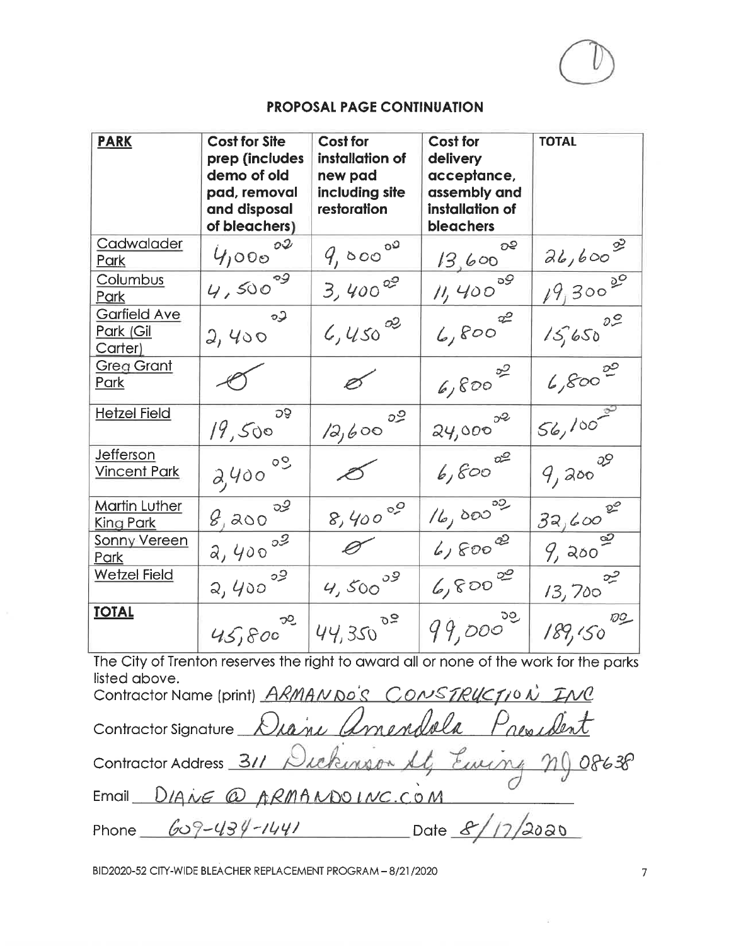

| <b>PARK</b>                                 | <b>Cost for Site</b><br>prep (includes<br>demo of old<br>pad, removal<br>and disposal<br>of bleachers) | <b>Cost for</b><br>installation of<br>new pad<br>including site<br>restoration | Cost for<br>delivery<br>acceptance,<br>assembly and<br>installation of<br><b>bleachers</b> | <b>TOTAL</b>         |
|---------------------------------------------|--------------------------------------------------------------------------------------------------------|--------------------------------------------------------------------------------|--------------------------------------------------------------------------------------------|----------------------|
| Cadwalader<br>Park                          | OQ<br>4,000                                                                                            | 9,00000                                                                        | ೦೯<br>13,600                                                                               | $26,600^{20}$        |
| Columbus<br><b>Park</b>                     | $4,500^{09}$                                                                                           | 3,400°                                                                         | 11,400                                                                                     | $19,300^{00}$        |
| <b>Garfield Ave</b><br>Park (Gil<br>Carter) | $\circ$<br>2,400                                                                                       | $4,450^{02}$                                                                   | 6,800                                                                                      | $15,650^{00}$        |
| <b>Greg Grant</b><br>Park                   |                                                                                                        | Ø                                                                              | $6,800$ <sup>00</sup>                                                                      | $6,800^{20}$         |
| <b>Hetzel Field</b>                         | <b>DS</b><br>19,500                                                                                    | ೦೨<br>12,600                                                                   | 24,0000                                                                                    | $56,100^{20}$        |
| Jefferson<br><b>Vincent Park</b>            | $2,400$ °°                                                                                             |                                                                                | 6,600                                                                                      | 9,0000               |
| <b>Martin Luther</b><br>King Park           | 8,00000                                                                                                | 8,40000                                                                        | 16,00000                                                                                   | $32,600^{20}$        |
| <b>Sonny Vereen</b><br>Park                 | $2,400^{09}$                                                                                           |                                                                                | $6,800^{22}$                                                                               | 9,000                |
| <b>Wetzel Field</b>                         | $2,400^{09}$                                                                                           | $4,500^{09}$                                                                   | 6,800                                                                                      | حييى<br>$13,700^{1}$ |
| <b>TOTAL</b>                                | $45,800^{20}$                                                                                          | $44,350^{00}$                                                                  | 99,0000                                                                                    | $189,150^{00}$       |

The City of Trenton reserves the right to award all or none of the work for the parks listed above.

| Contractor Name (print) ARMANDO'S CONSTRUCTION INC   |                  |
|------------------------------------------------------|------------------|
| Contractor Signature Diane Amendala President        |                  |
| Contractor Address 311 Dickinson At, Euring ng 08638 |                  |
| Email DIANE @ ARMANDOINC.COM                         |                  |
| Phone $609-434-1441$                                 | Date $8/17/2000$ |

BID2020-52 CITY-WIDE BLEACHER REPLACEMENT PROGRAM - 8/21/2020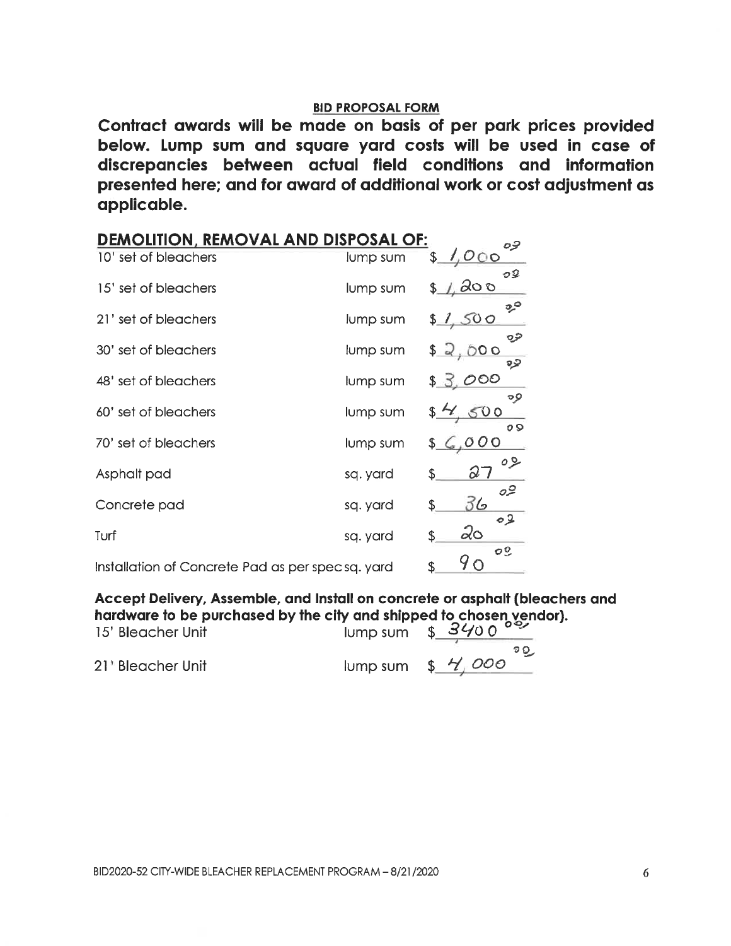Contract awards will be made on basis of per park prices provided below. Lump sum and square yard costs will be used in case of discrepancies between actual field conditions and information presented here; and for award of additional work or cost adjustment as applicable.

| <b>DEMOLITION, REMOVAL AND DISPOSAL OF:</b>      |          |                            |
|--------------------------------------------------|----------|----------------------------|
| 10' set of bleachers                             | lump sum | \$                         |
| 15' set of bleachers                             | lump sum | \$_                        |
| 21' set of bleachers                             | lump sum | 500                        |
| 30' set of bleachers                             | lump sum | O C                        |
| 48' set of bleachers                             | lump sum |                            |
| 60' set of bleachers                             | lump sum | o Q                        |
| 70' set of bleachers                             | lump sum |                            |
| Asphalt pad                                      | sq. yard | Q<br>\$                    |
| Concrete pad                                     | sq. yard | 36<br>\$<br>02             |
| Turf                                             | sq. yard | 20<br>\$<br>O <sup>o</sup> |
| Installation of Concrete Pad as per specsq. yard |          |                            |

Accept Delivery, Assemble, and Install on concrete or asphalt (bleachers and hardware to be purchased by the city and shipped to chosen vendor).<br>15' Bleacher Unit

| <b>TO DIGACTIC UTIL</b> | $J = \sqrt{2}$ $\sqrt{2}$ |
|-------------------------|---------------------------|
|                         | စ ဝ                       |
| 21" Bleacher Unit       | lump sum $$$ $/$ 000      |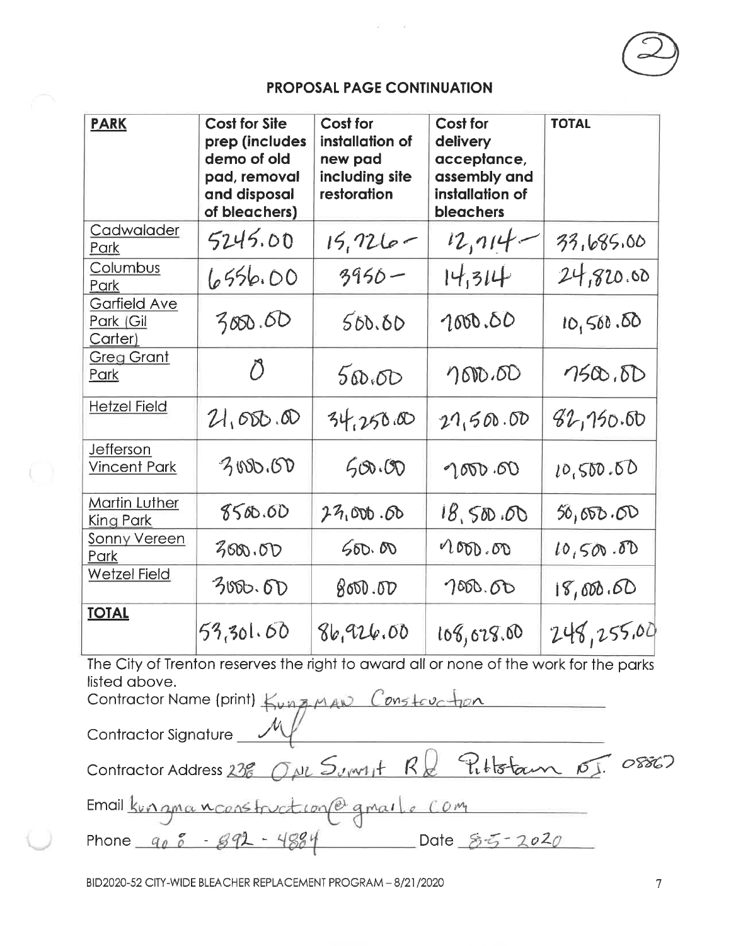| <b>PARK</b>                                 | <b>Cost for Site</b><br>prep (includes<br>demo of old<br>pad, removal<br>and disposal<br>of bleachers) | Cost for<br>installation of<br>new pad<br>including site<br>restoration | Cost for<br>delivery<br>acceptance,<br>assembly and<br>installation of<br>bleachers | <b>TOTAL</b> |
|---------------------------------------------|--------------------------------------------------------------------------------------------------------|-------------------------------------------------------------------------|-------------------------------------------------------------------------------------|--------------|
| Cadwalader<br>Park                          | 5245.00                                                                                                | $15,726 -$                                                              | 12, 114                                                                             | 33,685.00    |
| Columbus<br>Park                            | 6556.00                                                                                                | $3950 -$                                                                | 14,314                                                                              | 24,820.00    |
| <b>Garfield Ave</b><br>Park (Gil<br>Carter) | 3000.00                                                                                                | 500.60                                                                  | 1000.00                                                                             | 10,560.50    |
| <b>Greg Grant</b><br>Park                   | $\tilde{O}$                                                                                            | 500.00                                                                  | 7600.00                                                                             | 7500.5D      |
| <b>Hetzel Field</b>                         | 21,000.00                                                                                              | 34,250.00                                                               | 27,500.00                                                                           | 82,150.60    |
| <b>Jefferson</b><br><b>Vincent Park</b>     | 3000.00                                                                                                | 500.00                                                                  | 1000.00                                                                             | 10,500.60    |
| <b>Martin Luther</b><br><b>King Park</b>    | 8500.00                                                                                                | 27,000.60                                                               | 18,500.00                                                                           | 50,000.00    |
| <b>Sonny Vereen</b><br>Park                 | 300.00                                                                                                 | 500.00                                                                  | 200,000                                                                             | 10,500.00    |
| <b>Wetzel Field</b>                         | 3000.6D                                                                                                | 800.00                                                                  | 7000.00                                                                             | 18,000.60    |
| <b>TOTAL</b>                                | 53,301.60                                                                                              | 86,926.00                                                               | 108,028.00                                                                          | 248,255.00   |

The City of Trenton reserves the right to award all or none of the work for the parks listed above.

Contractor Name (print) Kung-MAN Constauction Contractor Signature Contractor Address 238 OM Summit RQ Publistan 01. 08867 Email Kungmanconstruction@gmail.com  $Date 85 - 2020$ Phone  $905 - 892 - 4884$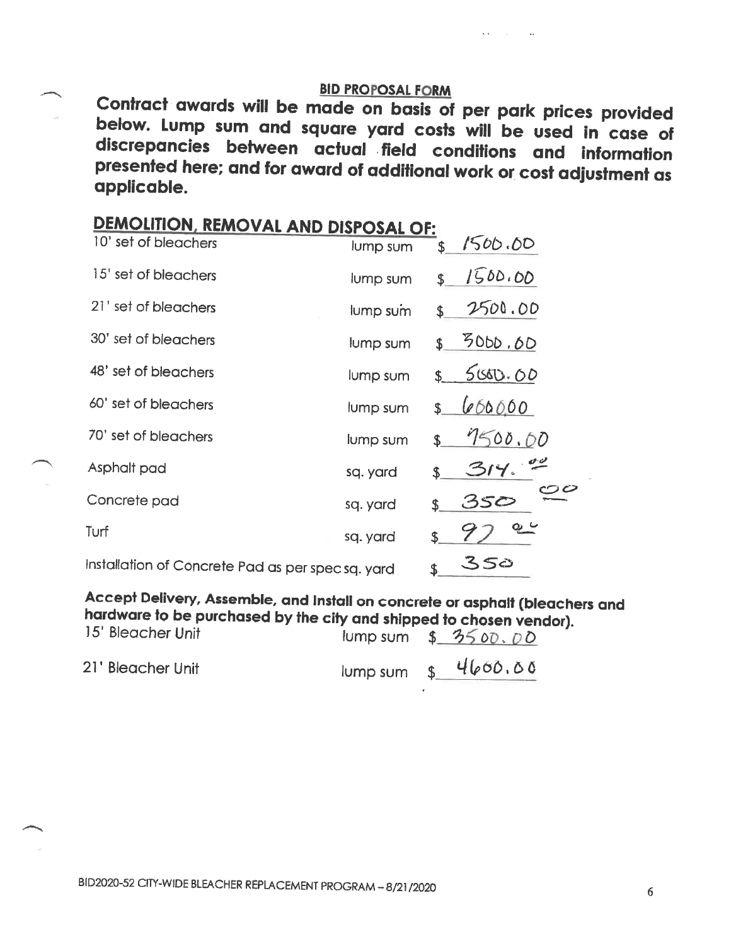Contract awards will be made on basis of per park prices provided below. Lump sum and square yard costs will be used in case of discrepancies between actual field conditions and information presented here; and for award of additional work or cost adjustment as applicable.

| <b>DEMOLITION, REMOVAL AND DISPOSAL OF:</b>       |          |                         |  |  |  |  |  |
|---------------------------------------------------|----------|-------------------------|--|--|--|--|--|
| 10' set of bleachers                              | lump sum | 1500.00<br>\$           |  |  |  |  |  |
| 15' set of bleachers                              | lump sum | 1500.00<br>\$           |  |  |  |  |  |
| 21' set of bleachers                              | lump sum | 2500.00<br>\$           |  |  |  |  |  |
| 30' set of bleachers                              | lump sum | 3000.00<br>\$           |  |  |  |  |  |
| 48' set of bleachers                              | lump sum | 500.00<br>\$            |  |  |  |  |  |
| 60' set of bleachers                              | lump sum | 666660<br>\$            |  |  |  |  |  |
| 70' set of bleachers                              | lump sum | 7500.00<br>$\mathbf{r}$ |  |  |  |  |  |
| Asphalt pad                                       | sq. yard | \$                      |  |  |  |  |  |
| Concrete pad                                      | sq. yard | 350<br>\$.              |  |  |  |  |  |
| Turf                                              | sq. yard | \$                      |  |  |  |  |  |
| Installation of Concrete Pad as per spec sq. yard |          | 350<br>\$.              |  |  |  |  |  |
|                                                   |          |                         |  |  |  |  |  |

. <u>Andrea van die staan van die v</u>

Accept Delivery, Assemble, and Install on concrete or asphalt (bleachers and hardware to be purchased by the city and shipped to chosen vendor).

| 15' Bleacher Unit |  | lump sum $$3500.00$ |  |
|-------------------|--|---------------------|--|
| 21' Bleacher Unit |  |                     |  |

BID2020-52 CITY-WIDE BLEACHER REPLACEMENT PROGRAM - 8/21/2020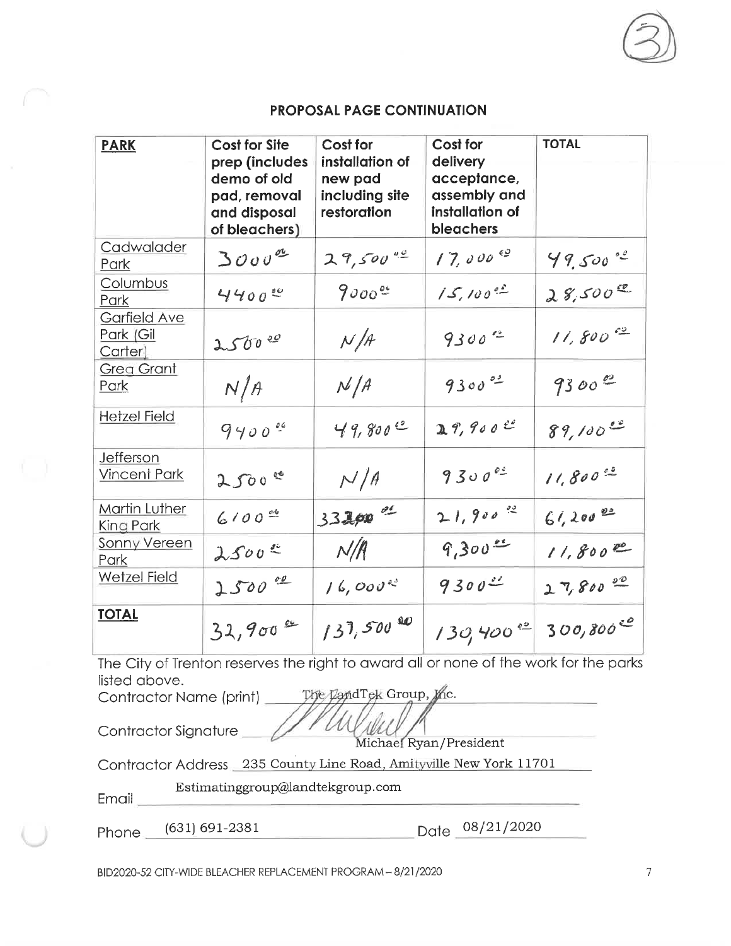| <b>PARK</b>                          | <b>Cost for Site</b><br>prep (includes<br>demo of old<br>pad, removal<br>and disposal<br>of bleachers) | Cost for<br>installation of<br>new pad<br>including site<br>restoration | Cost for<br>delivery<br>acceptance,<br>assembly and<br>installation of<br>bleachers | <b>TOTAL</b>           |
|--------------------------------------|--------------------------------------------------------------------------------------------------------|-------------------------------------------------------------------------|-------------------------------------------------------------------------------------|------------------------|
| Cadwalader<br>Park                   | $3000^{\circ}$                                                                                         | $29,500^{40}$                                                           | $17,000$ <sup>42</sup>                                                              | $49.500^{40}$          |
| Columbus<br>Park                     | 440000                                                                                                 | $9000$ <sup>oc</sup>                                                    | $15.100^{02}$                                                                       | $28,500^{20}$          |
| Garfield Ave<br>Park (Gil<br>Carter) | 25000                                                                                                  | N/A                                                                     | $9300$ 2                                                                            | $11,800$ <sup>co</sup> |
| <b>Greg Grant</b><br>Park            | N/A                                                                                                    | N/A                                                                     | $9300$ <sup>03</sup>                                                                | 9300                   |
| <b>Hetzel Field</b>                  | 9400                                                                                                   | 49,800                                                                  | 29,900                                                                              | $89,100^{20}$          |
| Jefferson<br><b>Vincent Park</b>     | 2500                                                                                                   | N/A                                                                     | 930000                                                                              | $11,800^{62}$          |
| Martin Luther<br>King Park           | $6100$ cd                                                                                              | $332,00$ or                                                             | $21,900$ 2                                                                          | $61,200$ es            |
| <b>Sonny Vereen</b><br>Park          | 2500                                                                                                   | N/R                                                                     | 9,300                                                                               | $11,800^{\circ}$       |
| <b>Wetzel Field</b>                  | 2500                                                                                                   | 16,000                                                                  | $9300 -$                                                                            | $27,800 = 00$          |
| <b>TOTAL</b>                         | 32,900                                                                                                 | $137,500^{00}$                                                          | $130,400^{48}$                                                                      | 300,800                |

The City of Trenton reserves the right to award all or none of the work for the parks listed above.

The LandTek Group, the. Contractor Name (print) \_

Contractor Signature

Michael Ryan/President

Contractor Address 235 County Line Road, Amityville New York 11701

l

Estimatinggroup@landtekgroup.com

Email\_

Phone (631) 691-2381

Date 08/21/2020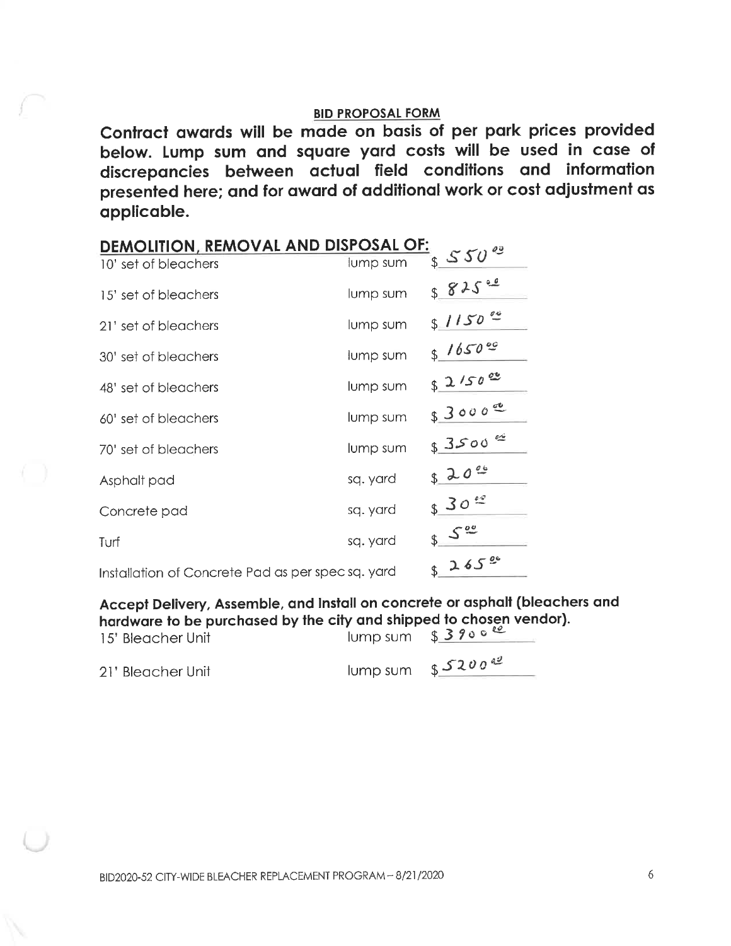Contract awards will be made on basis of per park prices provided below. Lump sum and square yard costs will be used in case of discrepancies between actual field conditions and information presented here; and for award of additional work or cost adjustment as applicable.

| DEMOLITION, REMOVAL AND DISPOSAL OF:             |          |                  |
|--------------------------------------------------|----------|------------------|
| 10' set of bleachers                             | lump sum | $550^{0}$        |
| 15' set of bleachers                             | lump sum | 825              |
| 21' set of bleachers                             | lump sum | $1150$ $00$      |
| 30' set of bleachers                             | lump sum | 316500           |
| 48' set of bleachers                             | lump sum | 82/50            |
| 60' set of bleachers                             | lump sum | $$3000^{\circ}$  |
| 70' set of bleachers                             | lump sum | 83500            |
| Asphalt pad                                      | sq. yard | 3200             |
| Concrete pad                                     | sq. yard | 30 <sup>22</sup> |
| Turf                                             | sq. yard | \$.              |
| Installation of Concrete Pad as per specsq. yard |          | 3265             |

Accept Delivery, Assemble, and Install on concrete or asphalt (bleachers and hardware to be purchased by the city and shipped to chosen vendor).

| 15' Bleacher Unit | $lump sum$ \$ 3900 $\frac{62}{3}$ |
|-------------------|-----------------------------------|
| 21' Bleacher Unit | lump sum $$5200$ <sup>d2</sup>    |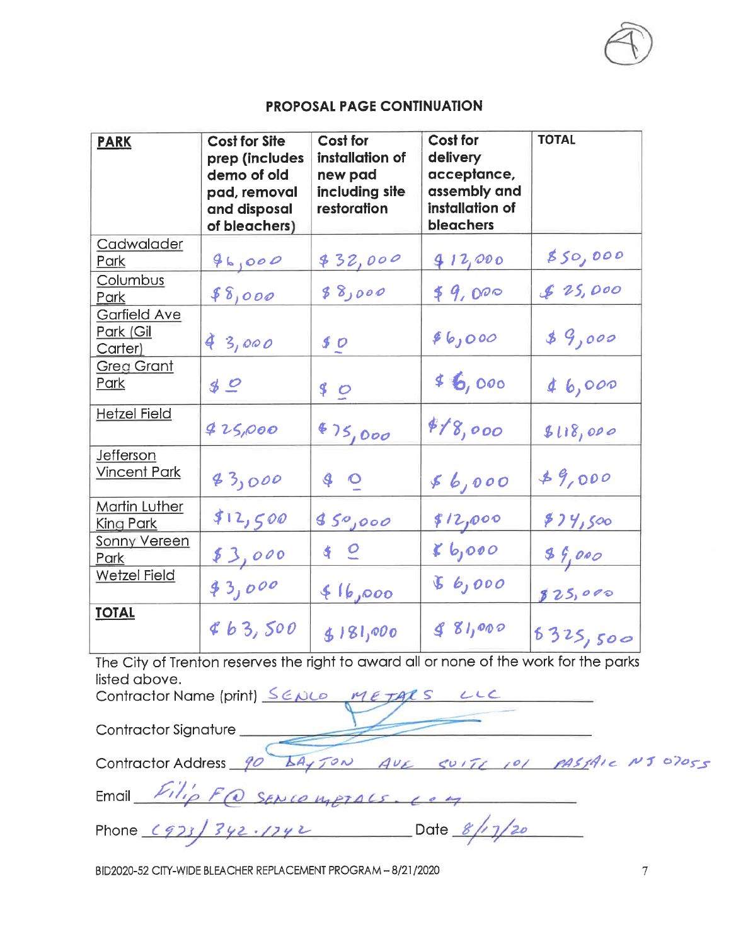| <b>PARK</b>                                 | <b>Cost for Site</b><br>prep (includes<br>demo of old<br>pad, removal<br>and disposal<br>of bleachers) | Cost for<br>installation of<br>new pad<br>including site<br>restoration | <b>Cost for</b><br>delivery<br>acceptance,<br>assembly and<br>installation of<br>bleachers | <b>TOTAL</b> |
|---------------------------------------------|--------------------------------------------------------------------------------------------------------|-------------------------------------------------------------------------|--------------------------------------------------------------------------------------------|--------------|
| Cadwalader<br>Park                          | 96,000                                                                                                 | 832,000                                                                 | 912,000                                                                                    | 850,000      |
| Columbus<br>Park                            | 88,000                                                                                                 | 000 ر8 ک                                                                | 49,000                                                                                     | \$25,000     |
| <b>Garfield Ave</b><br>Park (Gil<br>Carter) | 43,000                                                                                                 | \$0                                                                     | \$6,000                                                                                    | 89,000       |
| <b>Greg Grant</b><br>Park                   | $\n  30\n$                                                                                             | 90                                                                      | 46,000                                                                                     | 46,000       |
| <b>Hetzel Field</b>                         | 425,000                                                                                                | 475,000                                                                 | 818,000                                                                                    | 5118,000     |
| Jefferson<br><b>Vincent Park</b>            | 43,000                                                                                                 | 40                                                                      | 56,000                                                                                     | 89,000       |
| Martin Luther<br>King Park                  | \$12,500                                                                                               | 850,000                                                                 | 812,000                                                                                    | \$74,500     |
| <b>Sonny Vereen</b><br>Park                 | \$3,000                                                                                                | 4Q                                                                      | $k$ $b_j$ 000                                                                              | 89,000       |
| <b>Wetzel Field</b>                         | 43,000                                                                                                 | 416,000                                                                 | 6,000                                                                                      | 825,000      |
| <b>TOTAL</b>                                | 863,500                                                                                                | \$181,000                                                               | 81,000                                                                                     | 6325,500     |

The City of Trenton reserves the right to award all or none of the work for the parks listed above.  $\mathbf{r}$  and  $\mathbf{r}$ and the contract of the contract of the contract of the contract of the contract of the contract of the contract of the contract of the contract of the contract of the contract of the contract of the contract of the contra

| Contractor Name (print) SENCO METALS LLC                    |
|-------------------------------------------------------------|
| Contractor Signature                                        |
| Contractor Address 90 LAYTON AVE SUITE 101 PASSAIE NJ 07055 |
| Email $FilipFQ$ Sencomptals. Long                           |
| Phone $(923)$ $342.1742$ Date $8/17/20$                     |

BID2020-52 CITY-WIDE BLEACHER REPLACEMENT PROGRAM - 8/21/2020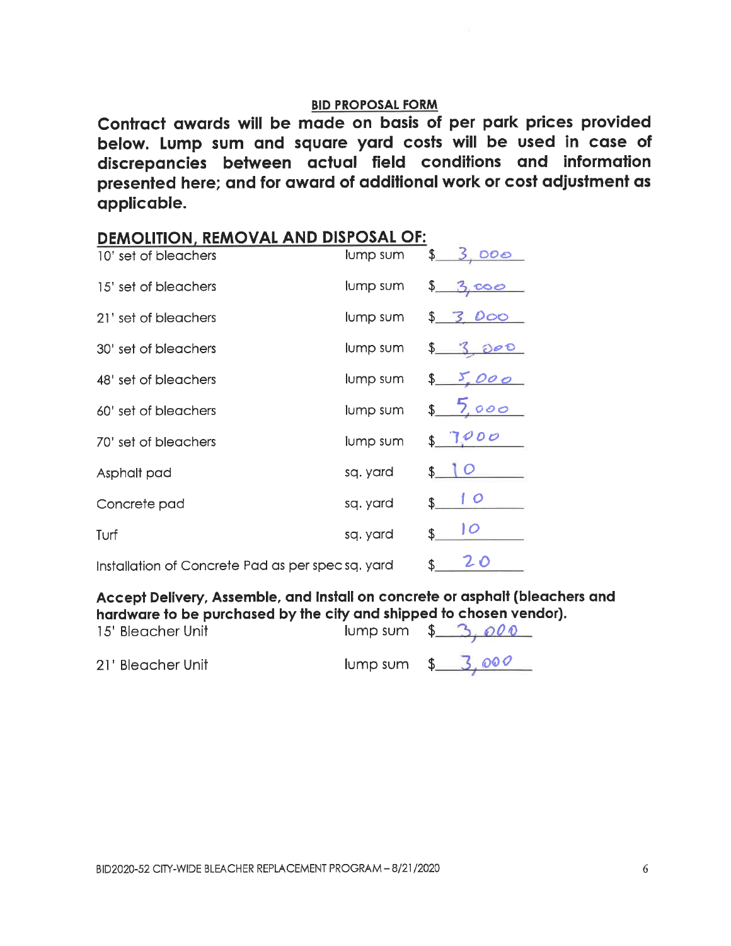Contract awards will be made on basis of per park prices provided below. Lump sum and square yard costs will be used in case of discrepancies between actual field conditions and information presented here; and for award of additional work or cost adjustment as applicable.

| <b>DEMOLITION, REMOVAL AND DISPOSAL OF:</b>      |          |                   |
|--------------------------------------------------|----------|-------------------|
| 10' set of bleachers                             | lump sum | 000               |
| 15' set of bleachers                             | lump sum | \$.               |
| 21' set of bleachers                             | lump sum | DOO               |
| 30' set of bleachers                             | lump sum |                   |
| 48' set of bleachers                             | lump sum |                   |
| 60' set of bleachers                             | lump sum | 5000              |
| 70' set of bleachers                             | lump sum | 1 <i>000</i><br>£ |
| Asphalt pad                                      | sq. yard | \$                |
| Concrete pad                                     | sq. yard | 1 O<br>\$.        |
| Turf                                             | sq. yard | 10<br>\$          |
| Installation of Concrete Pad as per specsq. yard |          | 20<br>\$          |

Accept Delivery, Assemble, and Install on concrete or asphalt (bleachers and hardware to be purchased by the city and shipped to chosen vendor).

| 15' Bleacher Unit | lump sum $\frac{2}{3}$ , 000 |
|-------------------|------------------------------|
| 21' Bleacher Unit | $lump sum$ \$ 3.000          |

 $I$  ump sum  $\frac{1}{2}$   $\frac{3}{2}$   $\frac{000}{2}$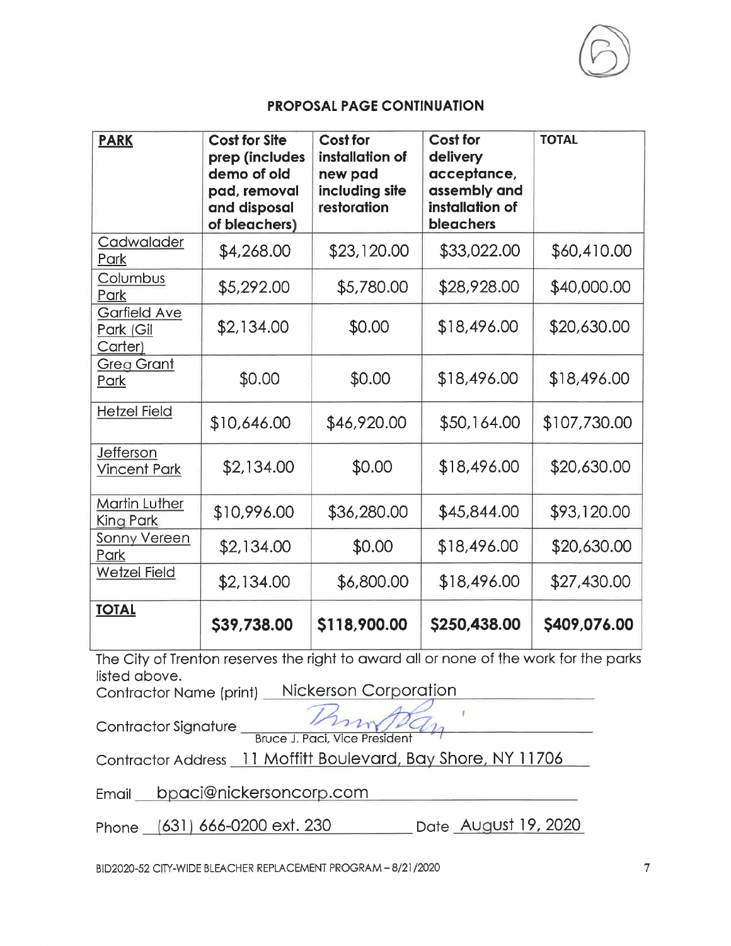

| <b>PARK</b>                             | <b>Cost for Site</b><br>prep (includes<br>demo of old<br>pad, removal<br>and disposal<br>of bleachers) | <b>Cost for</b><br>installation of<br>new pad<br>including site<br>restoration | <b>Cost for</b><br>delivery<br>acceptance,<br>assembly and<br>installation of<br>bleachers | <b>TOTAL</b> |
|-----------------------------------------|--------------------------------------------------------------------------------------------------------|--------------------------------------------------------------------------------|--------------------------------------------------------------------------------------------|--------------|
| Cadwalader<br>Park                      | \$4,268.00                                                                                             | \$23,120.00                                                                    | \$33,022.00                                                                                | \$60,410.00  |
| Columbus<br>Park                        | \$5,292.00                                                                                             | \$5,780.00                                                                     | \$28,928.00                                                                                | \$40,000.00  |
| Garfield Ave<br>Park (Gil<br>Carter)    | \$2,134.00                                                                                             | \$0.00                                                                         | \$18,496.00                                                                                | \$20,630.00  |
| <b>Greg Grant</b><br>Park               | \$0.00                                                                                                 | \$0.00                                                                         | \$18,496.00                                                                                | \$18,496.00  |
| <b>Hetzel Field</b>                     | \$10,646.00                                                                                            | \$46,920.00                                                                    | \$50,164.00                                                                                | \$107,730.00 |
| <b>Jefferson</b><br><b>Vincent Park</b> | \$2,134.00                                                                                             | \$0.00                                                                         | \$18,496.00                                                                                | \$20,630.00  |
| <b>Martin Luther</b><br>King Park       | \$10,996.00                                                                                            | \$36,280.00                                                                    | \$45,844.00                                                                                | \$93,120.00  |
| <b>Sonny Vereen</b><br>Park             | \$2,134.00                                                                                             | \$0.00                                                                         | \$18,496.00                                                                                | \$20,630.00  |
| <b>Wetzel Field</b>                     | \$2,134.00                                                                                             | \$6,800.00                                                                     | \$18,496.00                                                                                | \$27,430.00  |
| <b>TOTAL</b>                            | \$39,738.00                                                                                            | \$118,900.00                                                                   | \$250,438.00                                                                               | \$409,076.00 |

The City of Trenton reserves the right to award all or none of the work for the parks listed above.

 $\sim$   $\pm$ 

Contractor Name (print) \_\_ Nickerson Corporation

| Contractor Signature | monda                         |
|----------------------|-------------------------------|
|                      | Bruce J. Paci, Vice President |

Contractor Address 11 Moffitt Boulevard, Bay Shore, NY 11706

Email bpaci@nickersoncorp.com

|  | Phone (631) 666-0200 ext. 230 | Date August 19, 2020 |
|--|-------------------------------|----------------------|
|  |                               |                      |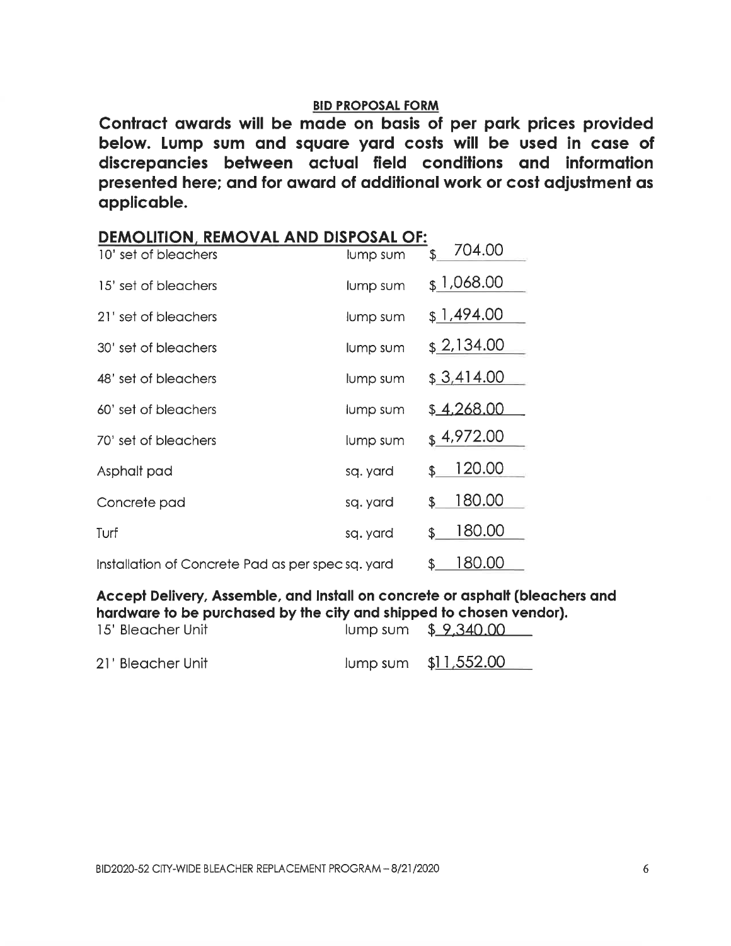Contract awards will be made on basis of per park prices provided below. Lump sum and square yard costs will be used in case of discrepancies between actual field conditions and information presented here; and for award of additional work or cost adjustment as applicable.

| DEMOLITION, REMOVAL AND DISPOSAL OF:              |          |                        |
|---------------------------------------------------|----------|------------------------|
| 10' set of bleachers                              | lump sum | 704.00<br>\$           |
| 15' set of bleachers                              | lump sum | $\frac{1,068.00}{$     |
| 21' set of bleachers                              | lump sum | \$1,494.00             |
| 30' set of bleachers                              | lump sum | \$2,134.00             |
| 48' set of bleachers                              | lump sum | \$3,414.00             |
| 60' set of bleachers                              | lump sum | \$4,268.00             |
| 70' set of bleachers                              | lump sum | $\frac{1}{2}$ 4,972.00 |
| Asphalt pad                                       | sq. yard | 120.00<br>\$           |
| Concrete pad                                      | sq. yard | 180.00<br>\$.          |
| Turf                                              | sq. yard | 180.00<br>\$           |
| Installation of Concrete Pad as per spec sq. yard |          | 180.00<br>\$           |

Accept Delivery, Assemble, and Install on concrete or asphalt (bleachers and hardware to be purchased by the city and shipped to chosen vendor). 15' Bleacher Unit lump sum \$ 9,340.00

| 21' Bleacher Unit |  | lump sum \$11,552.00 |
|-------------------|--|----------------------|
|-------------------|--|----------------------|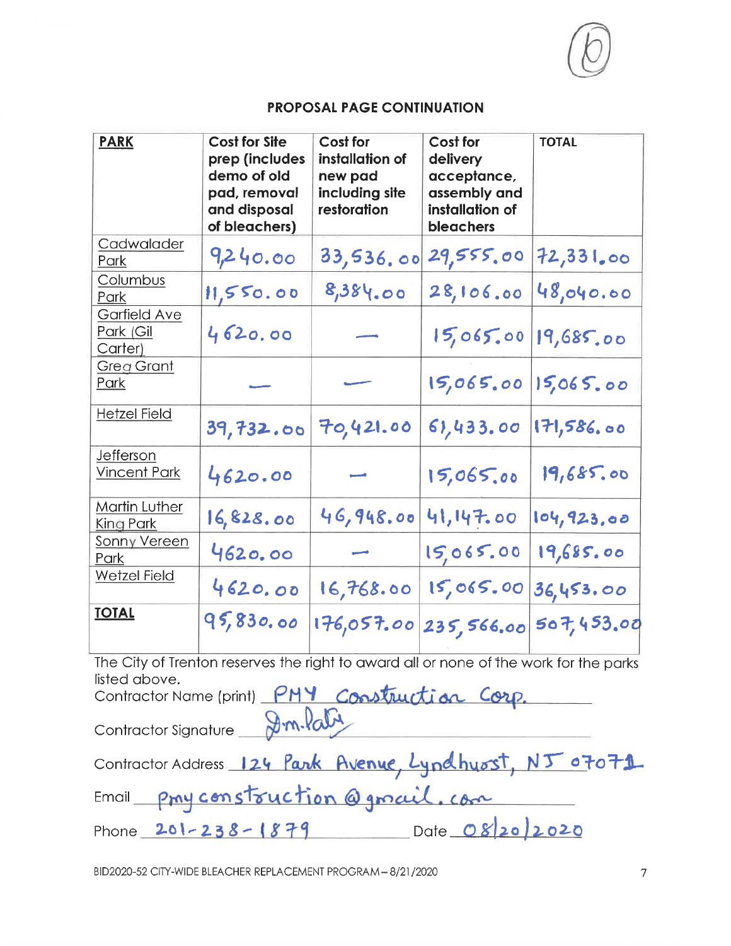| <b>PARK</b>                          | <b>Cost for Site</b><br>prep (includes<br>demo of old<br>pad, removal<br>and disposal<br>of bleachers) | <b>Cost for</b><br>installation of<br>new pad<br>including site<br>restoration | Cost for<br>delivery<br>acceptance,<br>assembly and<br>installation of<br>bleachers | <b>TOTAL</b> |
|--------------------------------------|--------------------------------------------------------------------------------------------------------|--------------------------------------------------------------------------------|-------------------------------------------------------------------------------------|--------------|
| Cadwalader<br>Park                   | 9,240.00                                                                                               | 33,536.00                                                                      | 29,555.00                                                                           | 72,331,00    |
| Columbus<br>Park                     | 11,550.00                                                                                              | 8,384.00                                                                       | 28,106.00                                                                           | 48,040.00    |
| Garfield Ave<br>Park (Gil<br>Carter) | 4620.00                                                                                                |                                                                                | 15,065.00                                                                           | 19,685.00    |
| <b>Greg Grant</b><br>Park            |                                                                                                        |                                                                                | 15,065.00                                                                           | 15,065.00    |
| <b>Hetzel Field</b>                  | 39,732.00                                                                                              | 70,421.00                                                                      | 61,433.00                                                                           | 171,586.00   |
| Jefferson<br><b>Vincent Park</b>     | 4620.00                                                                                                |                                                                                | 15,065.00                                                                           | 19,685.00    |
| <b>Martin Luther</b><br>King Park    | 16,828.00                                                                                              | 46,948.00                                                                      | 41,147.00                                                                           | 104,923.00   |
| <b>Sonny Vereen</b><br>Park          | 4620.00                                                                                                |                                                                                | 15,065.00                                                                           | 19,685.00    |
| <b>Wetzel Field</b>                  | 4620.00                                                                                                | 16,768.00                                                                      | 15,065.00                                                                           | 36,453.00    |
| <b>TOTAL</b>                         | 95,830.00                                                                                              | 176,057.00                                                                     | 235,566.00                                                                          | 507,453.00   |

The City of Trenton reserves the right to award all or none of the work for the parks listed above.

Contractor Name (print) PMY Construction Corp. Contractor Signature 8m. Paby

| Contractor Address 124 Park Avenue, Lyndhuost, NJ 07071 |                  |  |
|---------------------------------------------------------|------------------|--|
| Email pray construction @grail.com                      |                  |  |
| Phone $201 - 238 - 1879$                                | Date $OS20/2020$ |  |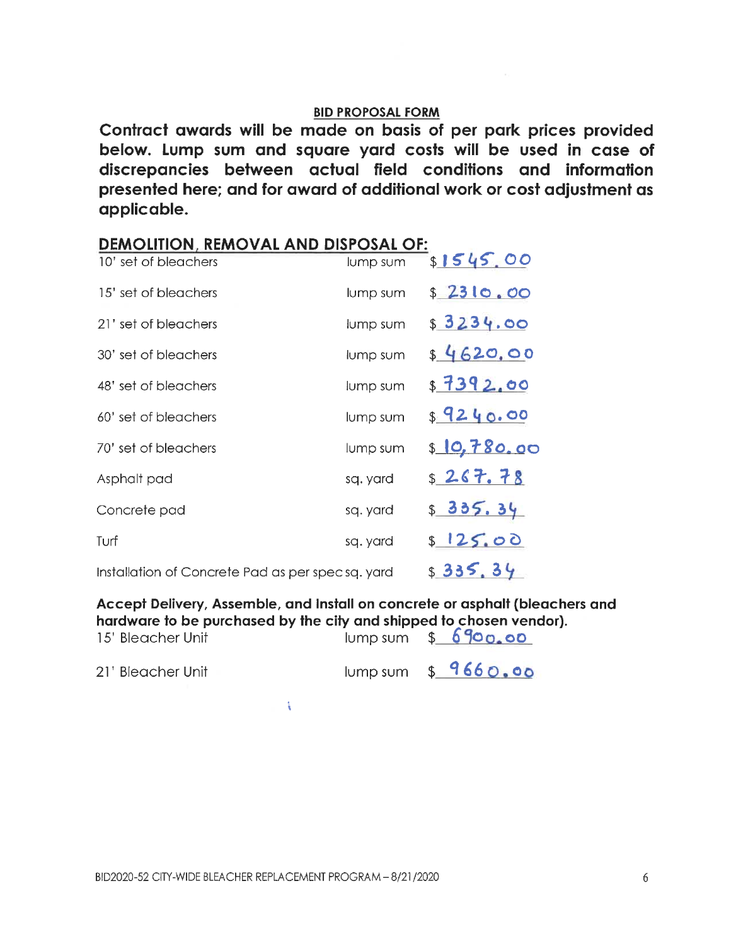Contract awards will be made on basis of per park prices provided below. Lump sum and square yard costs will be used in case of discrepancies between actual field conditions and information presented here; and for award of additional work or cost adjustment as applicable.

| <b>DEMOLITION, REMOVAL AND DISPOSAL OF:</b>      |          |              |  |  |
|--------------------------------------------------|----------|--------------|--|--|
| 10' set of bleachers                             | lump sum | \$1545.00    |  |  |
| 15' set of bleachers                             | lump sum | \$2310.00    |  |  |
| 21' set of bleachers                             | lump sum | \$3234.00    |  |  |
| 30' set of bleachers                             | lump sum | \$4620.00    |  |  |
| 48' set of bleachers                             | lump sum | \$7392.00    |  |  |
| 60' set of bleachers                             | lump sum | 89240.00     |  |  |
| 70' set of bleachers                             | lump sum | \$ 10,780.00 |  |  |
| Asphalt pad                                      | sq. yard | \$267.78     |  |  |
| Concrete pad                                     | sq. yard | \$335.34     |  |  |
| Turf                                             | sq. yard | \$125.00     |  |  |
| Installation of Concrete Pad as per specsq. yard |          | \$335,34     |  |  |

Accept Delivery, Assemble, and Install on concrete or asphalt (bleachers and hardware to be purchased by the city and shipped to chosen vendor).

| 15' Bleacher Unit | $I$ lump sum $$690.00$   |
|-------------------|--------------------------|
| 21' Bleacher Unit | $I$ lump sum $$ 9660.00$ |

 $\sim 3-1$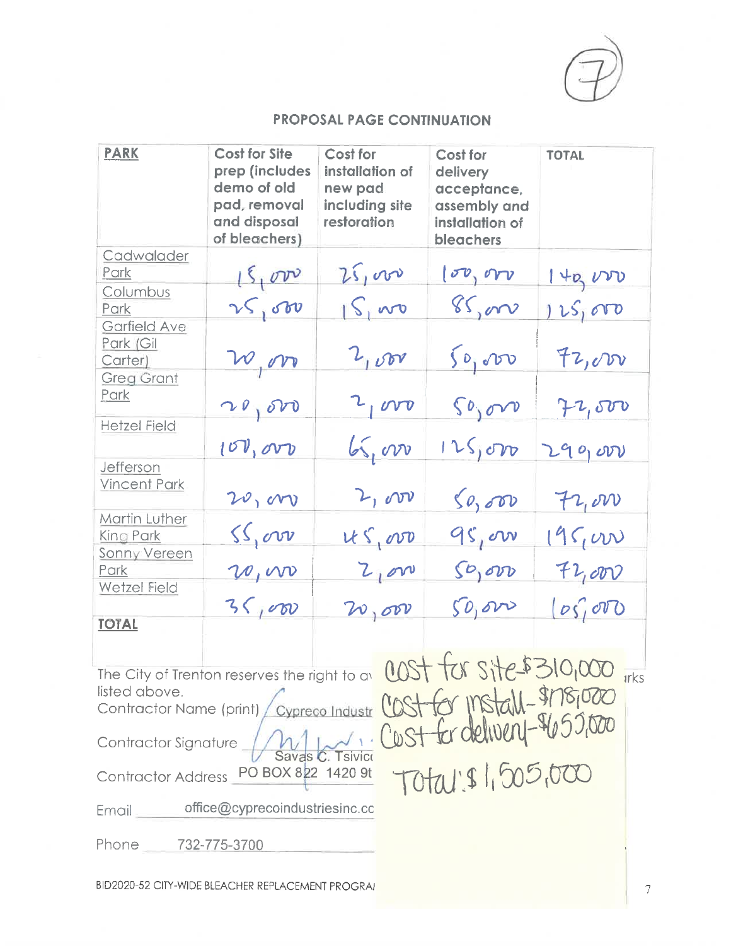| <b>PARK</b>                                                                                                                                                                                                                                                                                                              | <b>Cost for Site</b><br>prep (includes<br>demo of old<br>pad, removal<br>and disposal<br>of bleachers) | Cost for<br>installation of<br>new pad<br>including site<br>restoration | Cost for<br>delivery<br>acceptance,<br>assembly and<br>installation of<br>bleachers | <b>TOTAL</b> |  |
|--------------------------------------------------------------------------------------------------------------------------------------------------------------------------------------------------------------------------------------------------------------------------------------------------------------------------|--------------------------------------------------------------------------------------------------------|-------------------------------------------------------------------------|-------------------------------------------------------------------------------------|--------------|--|
| Cadwalader<br>Park                                                                                                                                                                                                                                                                                                       |                                                                                                        | 25,000                                                                  | $\sigma$ , or                                                                       | 140,000      |  |
| Columbus<br>Park                                                                                                                                                                                                                                                                                                         | 15,000                                                                                                 | $S_1$ wo                                                                | 85,000                                                                              | 125,000      |  |
| <b>Garfield Ave</b><br>Park (Gil<br>Carter)                                                                                                                                                                                                                                                                              | w,or                                                                                                   | 2,000                                                                   | $\zeta_{\rho_1}$ vo                                                                 | 72,000       |  |
| <b>Greg Grant</b><br><u>Park</u>                                                                                                                                                                                                                                                                                         | 20,00                                                                                                  | $2 \text{ rev}$                                                         | 50,000                                                                              | 72,500       |  |
| <b>Hetzel Field</b>                                                                                                                                                                                                                                                                                                      | 100,000                                                                                                | $\sqrt{2}$                                                              | 125,000                                                                             | 290,000      |  |
| <b>Jefferson</b><br><b>Vincent Park</b>                                                                                                                                                                                                                                                                                  | 20,000                                                                                                 | 2,000                                                                   | 50,000                                                                              | $H_{1}$ on   |  |
| <b>Martin Luther</b><br>King Park                                                                                                                                                                                                                                                                                        | ss, cov                                                                                                | $US_{1}000$                                                             | 95,000                                                                              | 195,000      |  |
| <b>Sonny Vereen</b><br>Park                                                                                                                                                                                                                                                                                              | 20,000                                                                                                 | 2.000                                                                   | $SO_1$ ov                                                                           | 72,000       |  |
| <b>Wetzel Field</b>                                                                                                                                                                                                                                                                                                      | 35,000                                                                                                 | 20,000                                                                  | 50,000                                                                              | $log_1$ oro  |  |
| <b>TOTAL</b>                                                                                                                                                                                                                                                                                                             |                                                                                                        |                                                                         |                                                                                     |              |  |
| The City of Trenton reserves the right to av COST TON SITE 5310,000 irks<br>listed above.<br>Cypreco Industr COST for Ir<br>Contractor Name (print)<br>Cost for delivery- 405<br>Contractor Signature<br>0/00, 005, 1216<br>Contractor Address PO BOX 822 1420 9t<br>office@cyprecoindustriesinc.cc<br>$E$ mail $\equiv$ |                                                                                                        |                                                                         |                                                                                     |              |  |
| Phone 732-775-3700                                                                                                                                                                                                                                                                                                       |                                                                                                        |                                                                         |                                                                                     |              |  |

BID2020-52 CITY-WIDE BLEACHER REPLACEMENT PROGRAI